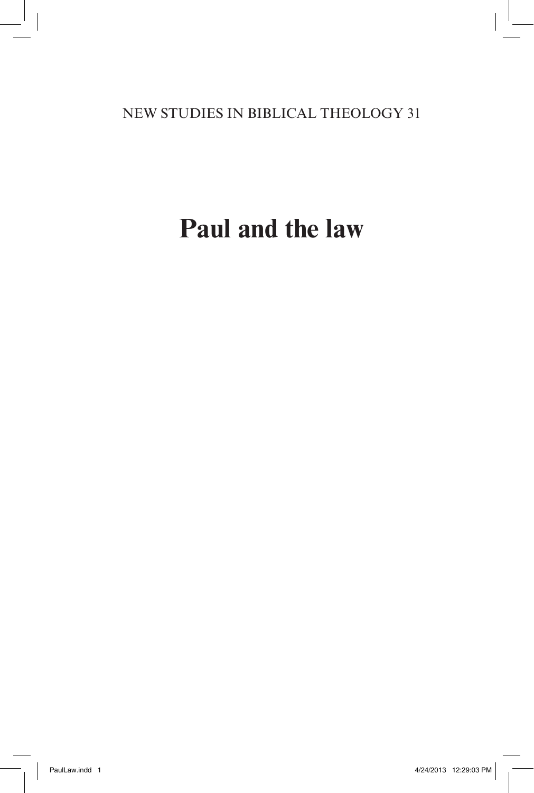NEW STUDIES IN BIBLICAL THEOLOGY 31

# **Paul and the law**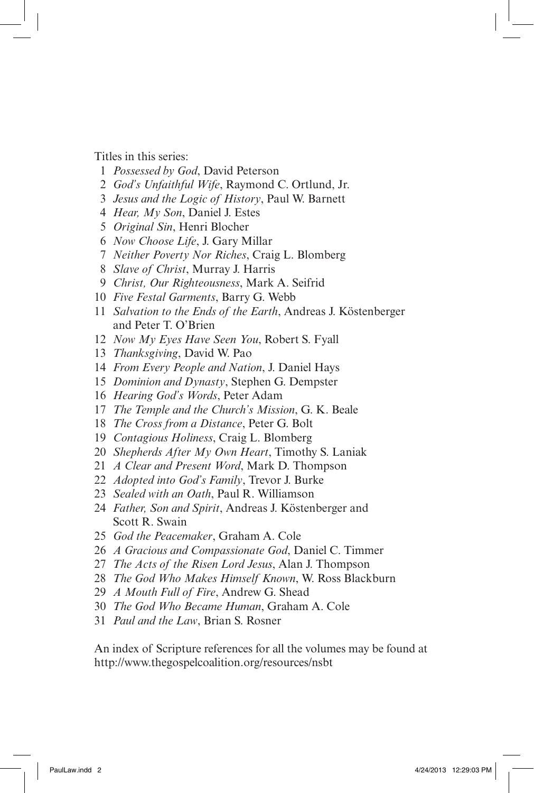Titles in this series:

- *Possessed by God*, David Peterson
- *God's Unfaithful Wife*, Raymond C. Ortlund, Jr.
- *Jesus and the Logic of History*, Paul W. Barnett
- *Hear, My Son*, Daniel J. Estes
- *Original Sin*, Henri Blocher
- *Now Choose Life*, J. Gary Millar
- *Neither Poverty Nor Riches*, Craig L. Blomberg
- *Slave of Christ*, Murray J. Harris
- *Christ, Our Righteousness*, Mark A. Seifrid
- *Five Festal Garments*, Barry G. Webb
- *Salvation to the Ends of the Earth*, Andreas J. Köstenberger and Peter T. O'Brien
- *Now My Eyes Have Seen You*, Robert S. Fyall
- *Thanksgiving*, David W. Pao
- *From Every People and Nation*, J. Daniel Hays
- *Dominion and Dynasty*, Stephen G. Dempster
- *Hearing God's Words*, Peter Adam
- *The Temple and the Church's Mission*, G. K. Beale
- *The Cross from a Distance*, Peter G. Bolt
- *Contagious Holiness*, Craig L. Blomberg
- *Shepherds After My Own Heart*, Timothy S. Laniak
- *A Clear and Present Word*, Mark D. Thompson
- *Adopted into God's Family*, Trevor J. Burke
- *Sealed with an Oath*, Paul R. Williamson
- *Father, Son and Spirit*, Andreas J. Köstenberger and Scott R. Swain
- *God the Peacemaker*, Graham A. Cole
- *A Gracious and Compassionate God*, Daniel C. Timmer
- *The Acts of the Risen Lord Jesus*, Alan J. Thompson
- *The God Who Makes Himself Known*, W. Ross Blackburn
- *A Mouth Full of Fire*, Andrew G. Shead
- *The God Who Became Human*, Graham A. Cole
- *Paul and the Law*, Brian S. Rosner

An index of Scripture references for all the volumes may be found at http://www.thegospelcoalition.org/resources/nsbt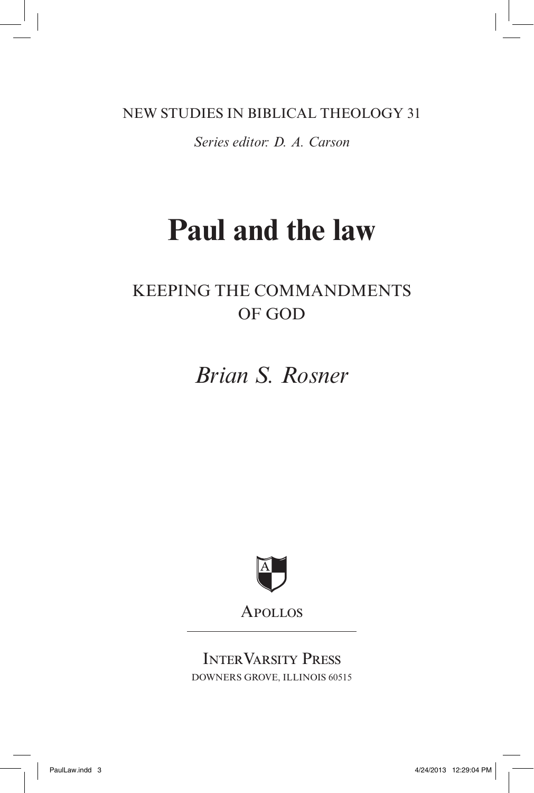NEW STUDIES IN BIBLICAL THEOLOGY 31

*Series editor: D. A. Carson*

# **Paul and the law**

## KEEPING THE COMMANDMENTS OF GOD

*Brian S. Rosner*



Apollos

## InterVarsity Press

DOWNERS GROVE, ILLINOIS 60515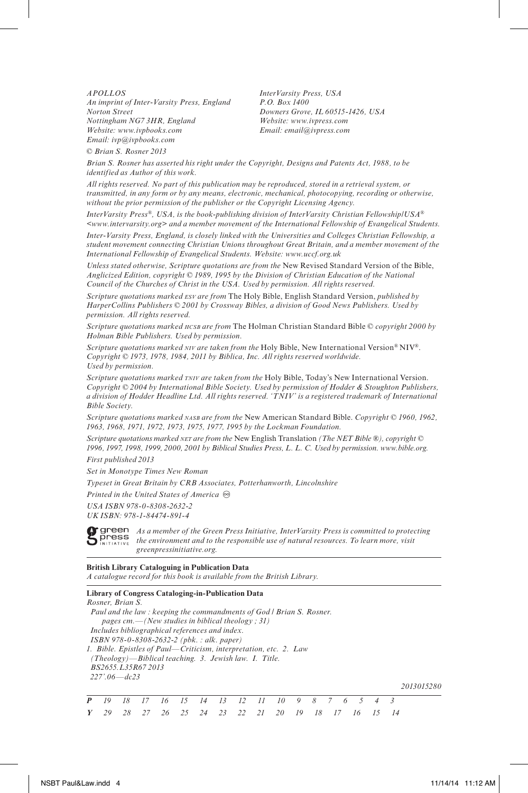*APOLLOS InterVarsity Press, USA An imprint of Inter-Varsity Press, England Norton Street Downers Grove, IL 60515-1426, USA Nottingham NG7 3HR, England Website: www.ivpress.com Website: www.ivpbooks.com Email: email@ivpress.com Email: ivp@ivpbooks.com*

© *Brian S. Rosner 2013*

*Brian S. Rosner has asserted his right under the Copyright, Designs and Patents Act, 1988, to be identified as Author of this work.*

*All rights reserved. No part of this publication may be reproduced, stored in a retrieval system, or transmitted, in any form or by any means, electronic, mechanical, photocopying, recording or otherwise, without the prior permission of the publisher or the Copyright Licensing Agency.*

*InterVarsity Press®, USA, is the book-publishing division of InterVarsity Christian Fellowship/USA® <www.intervarsity.org> and a member movement of the International Fellowship of Evangelical Students.* 

*Inter-Varsity Press, England, is closely linked with the Universities and Colleges Christian Fellowship, a student movement connecting Christian Unions throughout Great Britain, and a member movement of the International Fellowship of Evangelical Students. Website: www.uccf.org.uk*

*Unless stated otherwise, Scripture quotations are from the* New Revised Standard Version of the Bible, *Anglicized Edition, copyright* © *1989, 1995 by the Division of Christian Education of the National Council of the Churches of Christ in the USA. Used by permission. All rights reserved.*

*Scripture quotations marked ESV are from* The Holy Bible, English Standard Version, *published by HarperCollins Publishers © 2001 by Crossway Bibles, a division of Good News Publishers. Used by permission. All rights reserved.*

*Scripture quotations marked HCSB are from* The Holman Christian Standard Bible © *copyright 2000 by Holman Bible Publishers. Used by permission.* 

*Scripture quotations marked NIV are taken from the* Holy Bible, New International Version*®* NIV*®*. *Copyright © 1973, 1978, 1984, 2011 by Biblica, Inc. All rights reserved worldwide. Used by permission.*

*Scripture quotations marked TNIV are taken from the* Holy Bible, Today's New International Version. *Copyright © 2004 by International Bible Society. Used by permission of Hodder & Stoughton Publishers, a division of Hodder Headline Ltd. All rights reserved. 'TNIV' is a registered trademark of International Bible Society.* 

*Scripture quotations marked NASB are from the* New American Standard Bible. *Copyright © 1960, 1962, 1963, 1968, 1971, 1972, 1973, 1975, 1977, 1995 by the Lockman Foundation.*

*Scripture quotations marked NET are from the* New English Translation *(The NET Bible ®), copyright © 1996, 1997, 1998, 1999, 2000, 2001 by Biblical Studies Press, L. L. C. Used by permission. www.bible.org. First published 2013*

*Set in Monotype Times New Roman*

*Typeset in Great Britain by CRB Associates, Potterhanworth, Lincolnshire*

*Printed in the United States of America* ♾

*USA ISBN 978-0-8308-2632-2 UK ISBN: 978-1-84474-891-4*

 $5^{\mathrm{press}}$ 

*As a member of the Green Press Initiative, InterVarsity Press is committed to protecting the environment and to the responsible use of natural resources. To learn more, visit greenpressinitiative.org.*

#### **British Library Cataloguing in Publication Data**  *A catalogue record for this book is available from the British Library.*

#### **Library of Congress Cataloging-in-Publication Data**

*Rosner, Brian S.* 

*Paul and the law : keeping the commandments of God / Brian S. Rosner. pages cm.—(New studies in biblical theology ; 31) Includes bibliographical references and index. ISBN 978-0-8308-2632-2 (pbk. : alk. paper) 1. Bible. Epistles of Paul—Criticism, interpretation, etc. 2. Law (Theology)—Biblical teaching. 3. Jewish law. I. Title. BS2655.L35R67 2013 227'.06—dc23*

*2013015280*

|  |  |  |  |  | <b>P</b> 19 18 17 16 15 14 13 12 11 10 9 8 7 6 5 4 3 |  |  |  |  |
|--|--|--|--|--|------------------------------------------------------|--|--|--|--|
|  |  |  |  |  | Y 29 28 27 26 25 24 23 22 21 20 19 18 17 16 15 14    |  |  |  |  |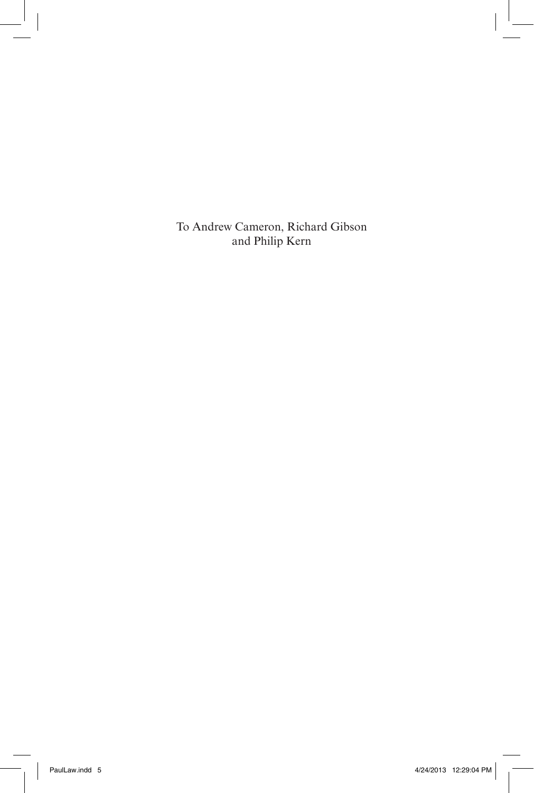To Andrew Cameron, Richard Gibson and Philip Kern

 $\begin{array}{c} \hline \end{array}$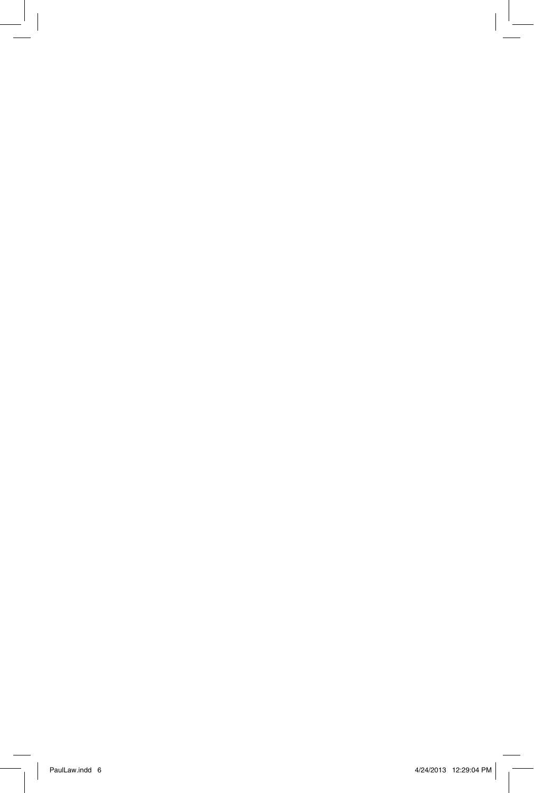$\overline{\phantom{0}}$ 

 $\overline{\phantom{a}}$ 

 $\mathbb{R}$  $\begin{array}{c} \hline \end{array}$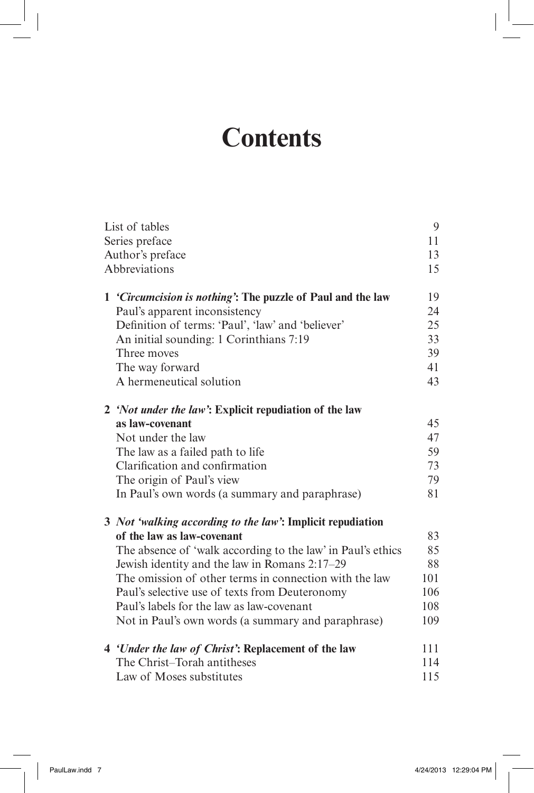# **Contents**

| List of tables                                              | 9   |
|-------------------------------------------------------------|-----|
| Series preface                                              | 11  |
| Author's preface                                            | 13  |
| Abbreviations                                               | 15  |
| 1 'Circumcision is nothing': The puzzle of Paul and the law | 19  |
| Paul's apparent inconsistency                               | 24  |
| Definition of terms: 'Paul', 'law' and 'believer'           | 25  |
| An initial sounding: 1 Corinthians 7:19                     | 33  |
| Three moves                                                 | 39  |
| The way forward                                             | 41  |
| A hermeneutical solution                                    | 43  |
| 2 'Not under the law': Explicit repudiation of the law      |     |
| as law-covenant                                             | 45  |
| Not under the law                                           | 47  |
| The law as a failed path to life                            | 59  |
| Clarification and confirmation                              | 73  |
| The origin of Paul's view                                   | 79  |
| In Paul's own words (a summary and paraphrase)              | 81  |
| 3 Not 'walking according to the law': Implicit repudiation  |     |
| of the law as law-covenant                                  | 83  |
| The absence of 'walk according to the law' in Paul's ethics | 85  |
| Jewish identity and the law in Romans 2:17–29               | 88  |
| The omission of other terms in connection with the law      | 101 |
| Paul's selective use of texts from Deuteronomy              | 106 |
| Paul's labels for the law as law-covenant                   | 108 |
| Not in Paul's own words (a summary and paraphrase)          | 109 |
| 4 'Under the law of Christ': Replacement of the law         | 111 |
| The Christ-Torah antitheses                                 | 114 |
| Law of Moses substitutes                                    | 115 |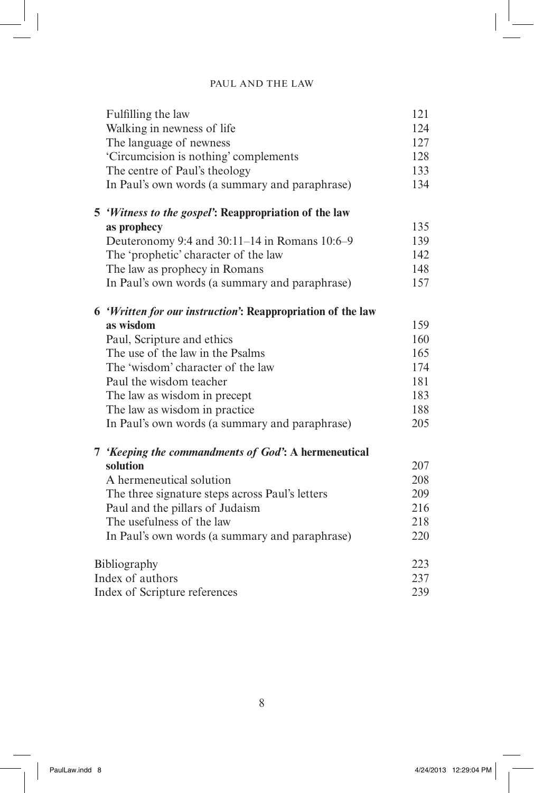| Fulfilling the law                                          | 121 |  |  |
|-------------------------------------------------------------|-----|--|--|
| Walking in newness of life                                  | 124 |  |  |
| The language of newness                                     | 127 |  |  |
| 'Circumcision is nothing' complements                       | 128 |  |  |
| The centre of Paul's theology                               | 133 |  |  |
| In Paul's own words (a summary and paraphrase)              | 134 |  |  |
| 5 'Witness to the gospel': Reappropriation of the law       |     |  |  |
| as prophecy                                                 | 135 |  |  |
| Deuteronomy 9:4 and $30:11-14$ in Romans $10:6-9$           | 139 |  |  |
| The 'prophetic' character of the law                        | 142 |  |  |
| The law as prophecy in Romans                               | 148 |  |  |
| In Paul's own words (a summary and paraphrase)              | 157 |  |  |
| 6 'Written for our instruction': Reappropriation of the law |     |  |  |
| as wisdom                                                   | 159 |  |  |
| Paul, Scripture and ethics                                  | 160 |  |  |
| The use of the law in the Psalms                            | 165 |  |  |
| The 'wisdom' character of the law                           | 174 |  |  |
| Paul the wisdom teacher                                     | 181 |  |  |
| The law as wisdom in precept                                | 183 |  |  |
| The law as wisdom in practice                               | 188 |  |  |
| In Paul's own words (a summary and paraphrase)              | 205 |  |  |
| 7 'Keeping the commandments of God': A hermeneutical        |     |  |  |
| solution                                                    | 207 |  |  |
| A hermeneutical solution                                    | 208 |  |  |
| The three signature steps across Paul's letters             | 209 |  |  |
| Paul and the pillars of Judaism                             | 216 |  |  |
| The usefulness of the law                                   | 218 |  |  |
| In Paul's own words (a summary and paraphrase)              | 220 |  |  |
| Bibliography                                                | 223 |  |  |
| Index of authors                                            | 237 |  |  |
| Index of Scripture references                               |     |  |  |

 $\begin{array}{c} \hline \end{array}$ 

 $\begin{array}{c} \hline \end{array}$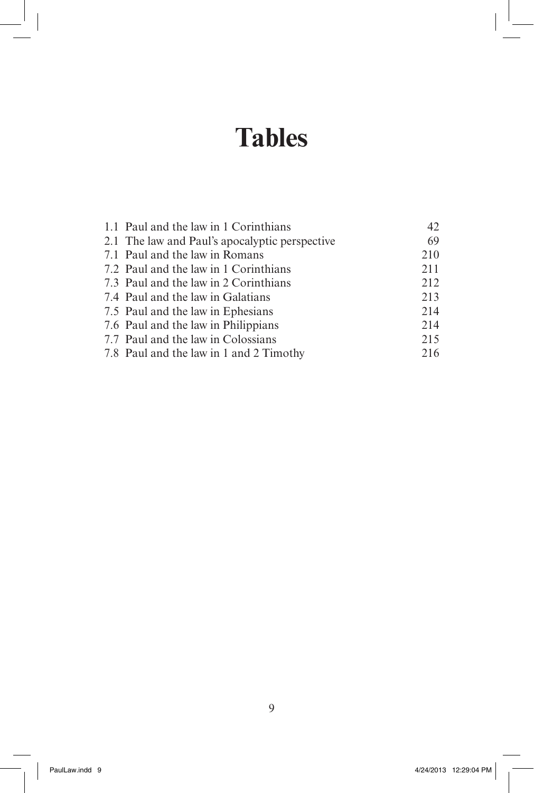# **Tables**

| 1.1 Paul and the law in 1 Corinthians          | 42  |
|------------------------------------------------|-----|
| 2.1 The law and Paul's apocalyptic perspective | 69  |
| 7.1 Paul and the law in Romans                 | 210 |
| 7.2 Paul and the law in 1 Corinthians          | 211 |
| 7.3 Paul and the law in 2 Corinthians          | 212 |
| 7.4 Paul and the law in Galatians              | 213 |
| 7.5 Paul and the law in Ephesians              | 214 |
| 7.6 Paul and the law in Philippians            | 214 |
| 7.7 Paul and the law in Colossians             | 215 |
| 7.8 Paul and the law in 1 and 2 Timothy        | 216 |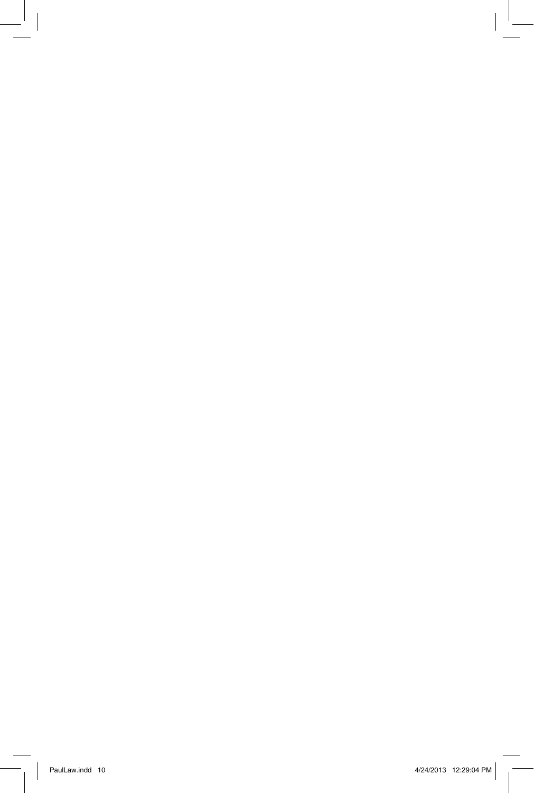$\overline{\phantom{0}}$ 

 $\overline{\phantom{a}}$ 

 $\begin{array}{c} \hline \end{array}$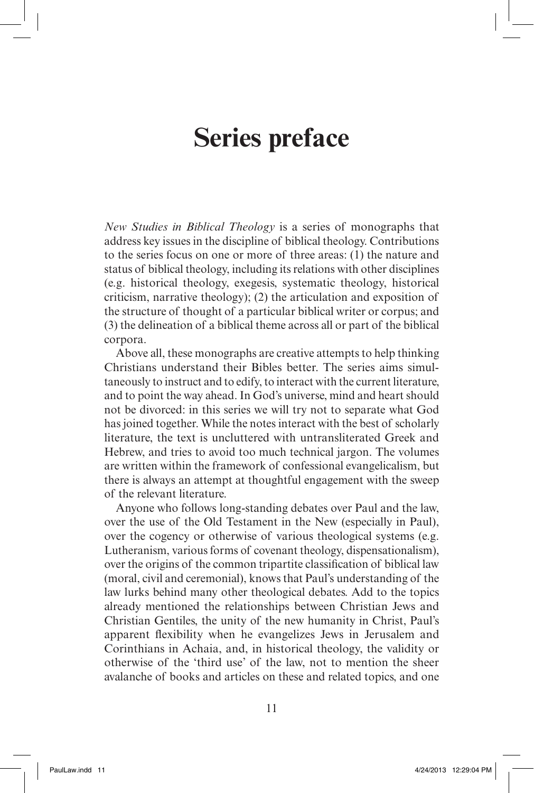# **Series preface**

*New Studies in Biblical Theology* is a series of monographs that address key issues in the discipline of biblical theology. Contributions to the series focus on one or more of three areas: (1) the nature and status of biblical theology, including its relations with other disciplines (e.g. historical theology, exegesis, systematic theology, historical criticism, narrative theology); (2) the articulation and exposition of the structure of thought of a particular biblical writer or corpus; and (3) the delineation of a biblical theme across all or part of the biblical corpora.

Above all, these monographs are creative attempts to help thinking Christians understand their Bibles better. The series aims simultaneously to instruct and to edify, to interact with the current literature, and to point the way ahead. In God's universe, mind and heart should not be divorced: in this series we will try not to separate what God has joined together. While the notes interact with the best of scholarly literature, the text is uncluttered with untransliterated Greek and Hebrew, and tries to avoid too much technical jargon. The volumes are written within the framework of confessional evangelicalism, but there is always an attempt at thoughtful engagement with the sweep of the relevant literature.

Anyone who follows long-standing debates over Paul and the law, over the use of the Old Testament in the New (especially in Paul), over the cogency or otherwise of various theological systems (e.g. Lutheranism, various forms of covenant theology, dispensationalism), over the origins of the common tripartite classifcation of biblical law (moral, civil and ceremonial), knows that Paul's understanding of the law lurks behind many other theological debates. Add to the topics already mentioned the relationships between Christian Jews and Christian Gentiles, the unity of the new humanity in Christ, Paul's apparent fexibility when he evangelizes Jews in Jerusalem and Corinthians in Achaia, and, in historical theology, the validity or otherwise of the 'third use' of the law, not to mention the sheer avalanche of books and articles on these and related topics, and one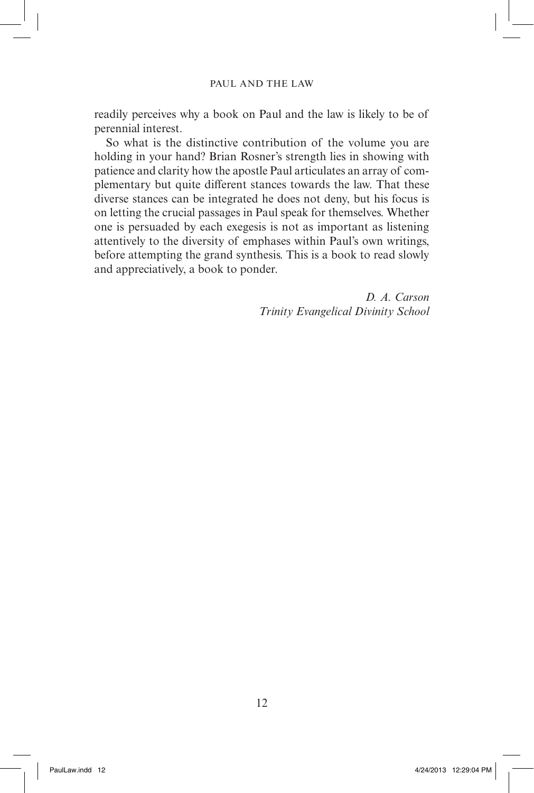readily perceives why a book on Paul and the law is likely to be of perennial interest.

So what is the distinctive contribution of the volume you are holding in your hand? Brian Rosner's strength lies in showing with patience and clarity how the apostle Paul articulates an array of complementary but quite diferent stances towards the law. That these diverse stances can be integrated he does not deny, but his focus is on letting the crucial passages in Paul speak for themselves. Whether one is persuaded by each exegesis is not as important as listening attentively to the diversity of emphases within Paul's own writings, before attempting the grand synthesis. This is a book to read slowly and appreciatively, a book to ponder.

> *D. A. Carson Trinity Evangelical Divinity School*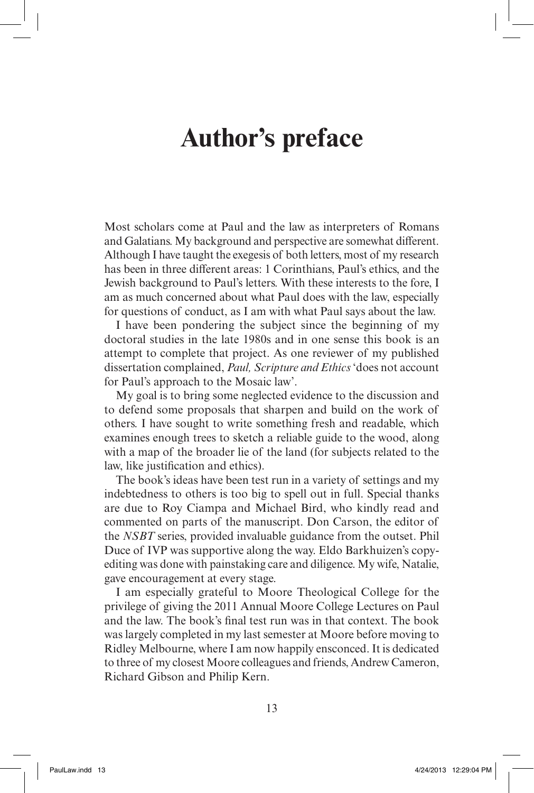# **Author's preface**

Most scholars come at Paul and the law as interpreters of Romans and Galatians. My background and perspective are somewhat diferent. Although I have taught the exegesis of both letters, most of my research has been in three diferent areas: 1 Corinthians, Paul's ethics, and the Jewish background to Paul's letters. With these interests to the fore, I am as much concerned about what Paul does with the law, especially for questions of conduct, as I am with what Paul says about the law.

I have been pondering the subject since the beginning of my doctoral studies in the late 1980s and in one sense this book is an attempt to complete that project. As one reviewer of my published dissertation complained, *Paul, Scripture and Ethics* 'does not account for Paul's approach to the Mosaic law'.

My goal is to bring some neglected evidence to the discussion and to defend some proposals that sharpen and build on the work of others. I have sought to write something fresh and readable, which examines enough trees to sketch a reliable guide to the wood, along with a map of the broader lie of the land (for subjects related to the law, like justifcation and ethics).

The book's ideas have been test run in a variety of settings and my indebtedness to others is too big to spell out in full. Special thanks are due to Roy Ciampa and Michael Bird, who kindly read and commented on parts of the manuscript. Don Carson, the editor of the *NSBT* series, provided invaluable guidance from the outset. Phil Duce of IVP was supportive along the way. Eldo Barkhuizen's copyediting was done with painstaking care and diligence. My wife, Natalie, gave encouragement at every stage.

I am especially grateful to Moore Theological College for the privilege of giving the 2011 Annual Moore College Lectures on Paul and the law. The book's fnal test run was in that context. The book was largely completed in my last semester at Moore before moving to Ridley Melbourne, where I am now happily ensconced. It is dedicated to three of my closest Moore colleagues and friends, Andrew Cameron, Richard Gibson and Philip Kern.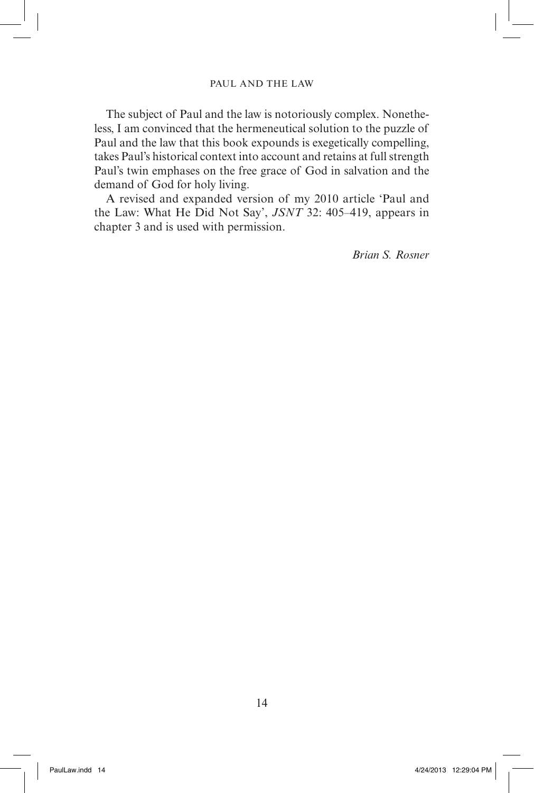The subject of Paul and the law is notoriously complex. Nonetheless, I am convinced that the hermeneutical solution to the puzzle of Paul and the law that this book expounds is exegetically compelling, takes Paul's historical context into account and retains at full strength Paul's twin emphases on the free grace of God in salvation and the demand of God for holy living.

A revised and expanded version of my 2010 article 'Paul and the Law: What He Did Not Say', *JSNT* 32: 405–419, appears in chapter 3 and is used with permission.

*Brian S. Rosner*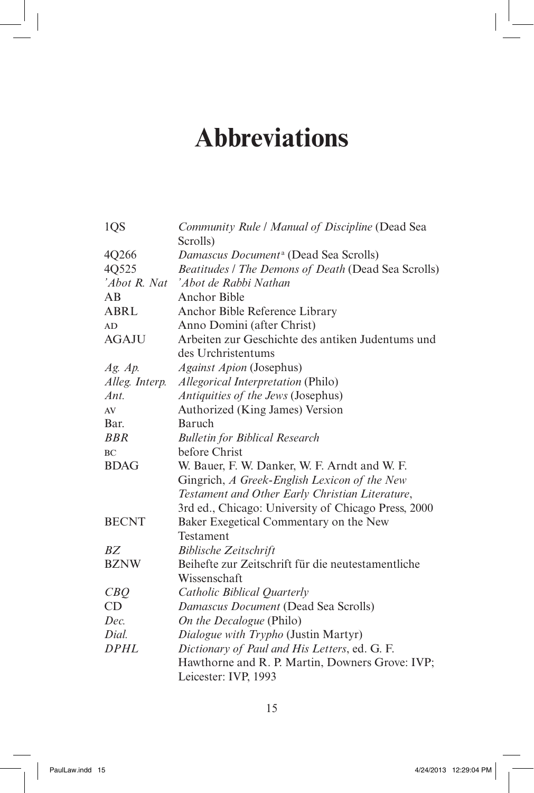# **Abbreviations**

| 1QS            | Community Rule / Manual of Discipline (Dead Sea     |  |  |  |  |
|----------------|-----------------------------------------------------|--|--|--|--|
|                | Scrolls)                                            |  |  |  |  |
| 4Q266          | Damascus Document <sup>a</sup> (Dead Sea Scrolls)   |  |  |  |  |
| 4Q525          | Beatitudes / The Demons of Death (Dead Sea Scrolls) |  |  |  |  |
|                | 'Abot R. Nat 'Abot de Rabbi Nathan                  |  |  |  |  |
| AB             | Anchor Bible                                        |  |  |  |  |
| ABRL           | Anchor Bible Reference Library                      |  |  |  |  |
| AD             | Anno Domini (after Christ)                          |  |  |  |  |
| <b>AGAJU</b>   | Arbeiten zur Geschichte des antiken Judentums und   |  |  |  |  |
|                | des Urchristentums                                  |  |  |  |  |
| $Ag.$ Ap.      | <b>Against Apion (Josephus)</b>                     |  |  |  |  |
| Alleg. Interp. | Allegorical Interpretation (Philo)                  |  |  |  |  |
| Ant.           | Antiquities of the Jews (Josephus)                  |  |  |  |  |
| AV             | Authorized (King James) Version                     |  |  |  |  |
| Bar.           | Baruch                                              |  |  |  |  |
| <b>BBR</b>     | <b>Bulletin for Biblical Research</b>               |  |  |  |  |
| <b>BC</b>      | before Christ                                       |  |  |  |  |
| <b>BDAG</b>    | W. Bauer, F. W. Danker, W. F. Arndt and W. F.       |  |  |  |  |
|                | Gingrich, A Greek-English Lexicon of the New        |  |  |  |  |
|                | Testament and Other Early Christian Literature,     |  |  |  |  |
|                | 3rd ed., Chicago: University of Chicago Press, 2000 |  |  |  |  |
| <b>BECNT</b>   | Baker Exegetical Commentary on the New              |  |  |  |  |
|                | Testament                                           |  |  |  |  |
| BZ.            | <b>Biblische Zeitschrift</b>                        |  |  |  |  |
| <b>BZNW</b>    | Beihefte zur Zeitschrift für die neutestamentliche  |  |  |  |  |
|                | Wissenschaft                                        |  |  |  |  |
| CBQ            | Catholic Biblical Quarterly                         |  |  |  |  |
| CD             | Damascus Document (Dead Sea Scrolls)                |  |  |  |  |
| Dec.           | On the Decalogue (Philo)                            |  |  |  |  |
| Dial.          | Dialogue with Trypho (Justin Martyr)                |  |  |  |  |
| <b>DPHL</b>    | Dictionary of Paul and His Letters, ed. G. F.       |  |  |  |  |
|                | Hawthorne and R. P. Martin, Downers Grove: IVP;     |  |  |  |  |
|                | Leicester: IVP, 1993                                |  |  |  |  |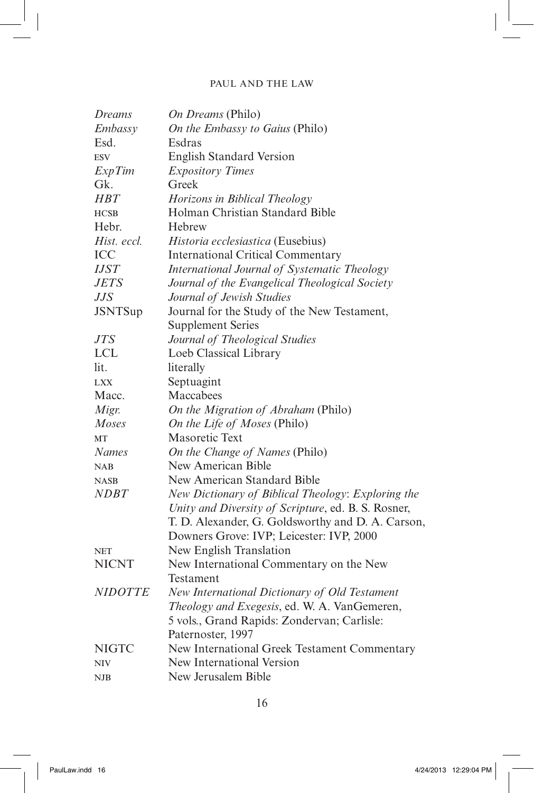| Dreams         | On Dreams (Philo)                                   |
|----------------|-----------------------------------------------------|
| Embassy        | On the Embassy to Gaius (Philo)                     |
| Esd.           | Esdras                                              |
| <b>ESV</b>     | <b>English Standard Version</b>                     |
| ExpTim         | <b>Expository Times</b>                             |
| Gk.            | Greek                                               |
| <b>HBT</b>     | Horizons in Biblical Theology                       |
| <b>HCSB</b>    | Holman Christian Standard Bible                     |
| Hebr.          | Hebrew                                              |
| Hist. eccl.    | Historia ecclesiastica (Eusebius)                   |
| ICC            | <b>International Critical Commentary</b>            |
| <b>IJST</b>    | International Journal of Systematic Theology        |
| <b>JETS</b>    | Journal of the Evangelical Theological Society      |
| JJS            | Journal of Jewish Studies                           |
| <b>JSNTSup</b> | Journal for the Study of the New Testament,         |
|                | <b>Supplement Series</b>                            |
| <b>JTS</b>     | Journal of Theological Studies                      |
| <b>LCL</b>     | Loeb Classical Library                              |
| lit.           | literally                                           |
| <b>LXX</b>     | Septuagint                                          |
| Macc.          | Maccabees                                           |
| Migr.          | On the Migration of Abraham (Philo)                 |
| Moses          | On the Life of Moses (Philo)                        |
| MT             | Masoretic Text                                      |
| <b>Names</b>   | On the Change of Names (Philo)                      |
| <b>NAB</b>     | New American Bible                                  |
| <b>NASB</b>    | New American Standard Bible                         |
| <i>NDBT</i>    | New Dictionary of Biblical Theology: Exploring the  |
|                | Unity and Diversity of Scripture, ed. B. S. Rosner, |
|                | T. D. Alexander, G. Goldsworthy and D. A. Carson,   |
|                | Downers Grove: IVP; Leicester: IVP, 2000            |
| <b>NET</b>     | New English Translation                             |
| <b>NICNT</b>   | New International Commentary on the New             |
|                | Testament                                           |
| <i>NIDOTTE</i> | New International Dictionary of Old Testament       |
|                | Theology and Exegesis, ed. W. A. VanGemeren,        |
|                | 5 vols., Grand Rapids: Zondervan; Carlisle:         |
|                | Paternoster, 1997                                   |
| NIGTC          | New International Greek Testament Commentary        |
| <b>NIV</b>     | New International Version                           |
| <b>NJB</b>     | New Jerusalem Bible                                 |

 $\overline{\phantom{a}}$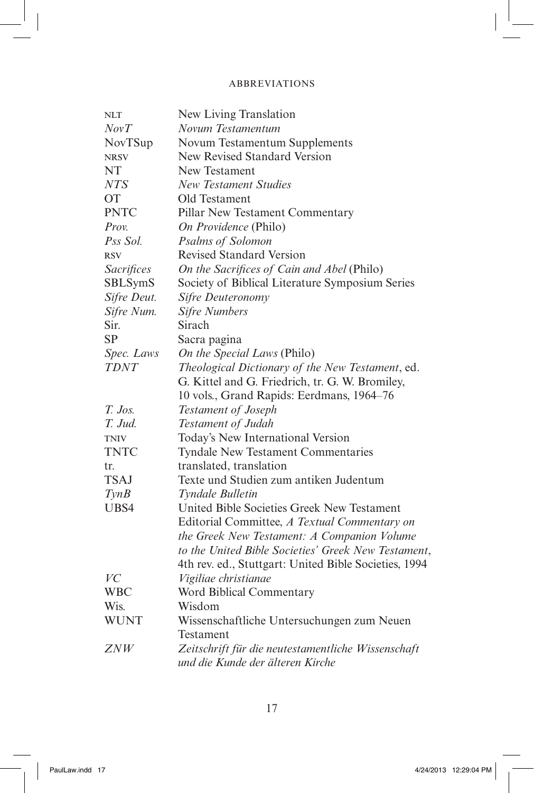### ABBREVIATIONS

| <b>NLT</b>               | New Living Translation                                |  |  |  |  |
|--------------------------|-------------------------------------------------------|--|--|--|--|
| NovT                     | Novum Testamentum                                     |  |  |  |  |
| NovTSup                  | Novum Testamentum Supplements                         |  |  |  |  |
| <b>NRSV</b>              | New Revised Standard Version                          |  |  |  |  |
| NT                       | New Testament                                         |  |  |  |  |
| NTS                      | <b>New Testament Studies</b>                          |  |  |  |  |
| <b>OT</b>                | Old Testament                                         |  |  |  |  |
| <b>PNTC</b>              | Pillar New Testament Commentary                       |  |  |  |  |
| Prov.                    | On Providence (Philo)                                 |  |  |  |  |
| Pss Sol.                 | Psalms of Solomon                                     |  |  |  |  |
| <b>RSV</b>               | <b>Revised Standard Version</b>                       |  |  |  |  |
| Sacrifices               | On the Sacrifices of Cain and Abel (Philo)            |  |  |  |  |
| SBLSymS                  | Society of Biblical Literature Symposium Series       |  |  |  |  |
| Sifre Deut.              | <b>Sifre Deuteronomy</b>                              |  |  |  |  |
| Sifre Num.               | <b>Sifre Numbers</b>                                  |  |  |  |  |
| Sir.                     | Sirach                                                |  |  |  |  |
| SP                       | Sacra pagina                                          |  |  |  |  |
| Spec. Laws               | On the Special Laws (Philo)                           |  |  |  |  |
| <b>TDNT</b>              | Theological Dictionary of the New Testament, ed.      |  |  |  |  |
|                          | G. Kittel and G. Friedrich, tr. G. W. Bromiley,       |  |  |  |  |
|                          | 10 vols., Grand Rapids: Eerdmans, 1964-76             |  |  |  |  |
| T. Jos.                  | Testament of Joseph                                   |  |  |  |  |
| T. Jud.                  | Testament of Judah                                    |  |  |  |  |
| <b>TNIV</b>              | Today's New International Version                     |  |  |  |  |
| TNTC                     | Tyndale New Testament Commentaries                    |  |  |  |  |
| tr.                      | translated, translation                               |  |  |  |  |
| <b>TSAJ</b>              | Texte und Studien zum antiken Judentum                |  |  |  |  |
| TynB                     | Tyndale Bulletin                                      |  |  |  |  |
| UBS4                     | United Bible Societies Greek New Testament            |  |  |  |  |
|                          | Editorial Committee, A Textual Commentary on          |  |  |  |  |
|                          | the Greek New Testament: A Companion Volume           |  |  |  |  |
|                          | to the United Bible Societies' Greek New Testament,   |  |  |  |  |
|                          | 4th rev. ed., Stuttgart: United Bible Societies, 1994 |  |  |  |  |
| $\mathcal{V}\mathcal{C}$ | Vigiliae christianae                                  |  |  |  |  |
| <b>WBC</b>               | Word Biblical Commentary                              |  |  |  |  |
| Wis.                     | Wisdom                                                |  |  |  |  |
| <b>WUNT</b>              | Wissenschaftliche Untersuchungen zum Neuen            |  |  |  |  |
|                          | Testament                                             |  |  |  |  |
| ZNW                      | Zeitschrift für die neutestamentliche Wissenschaft    |  |  |  |  |
|                          | und die Kunde der älteren Kirche                      |  |  |  |  |

 $\overline{\phantom{0}}$ 

L  $\begin{array}{c} \hline \end{array}$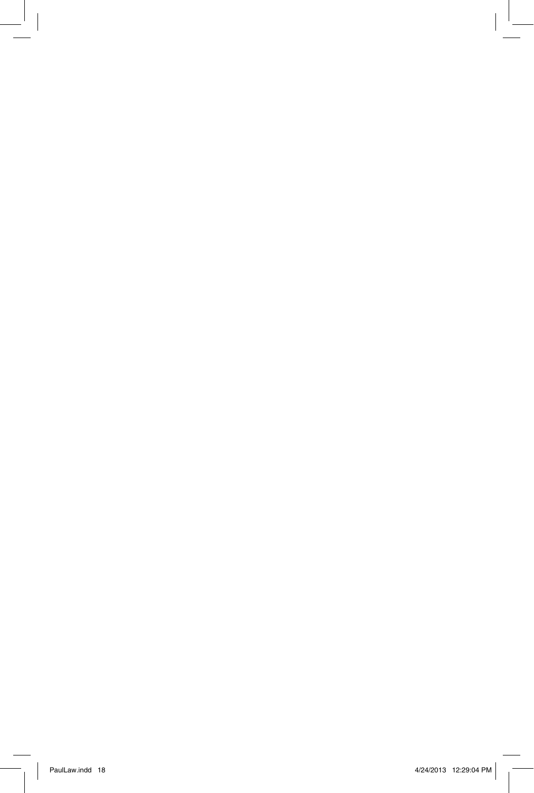$\overline{\phantom{0}}$ 

 $\overline{\phantom{a}}$ 

 $\begin{array}{c} \hline \end{array}$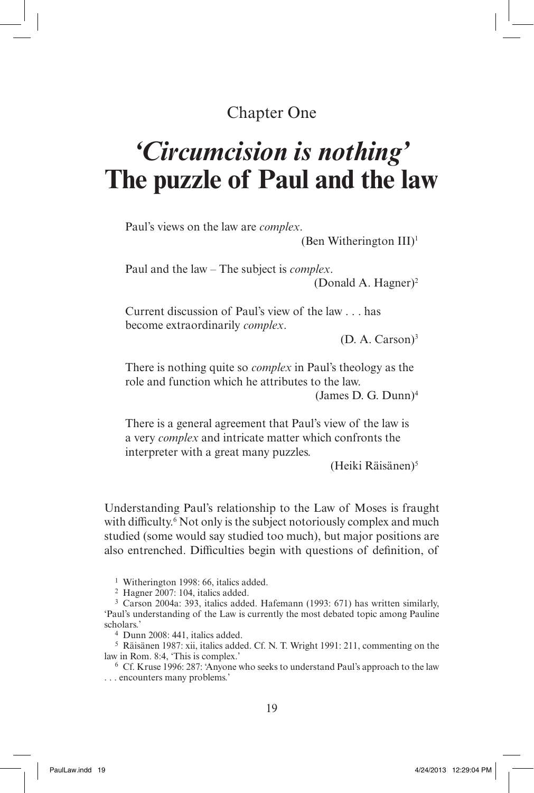## Chapter One

# *'Circumcision is nothing'* **The puzzle of Paul and the law**

Paul's views on the law are *complex*.

(Ben Witherington  $III$ )<sup>1</sup>

Paul and the law – The subject is *complex*. (Donald A. Hagner)2

Current discussion of Paul's view of the law . . . has become extraordinarily *complex*.

(D. A. Carson)3

There is nothing quite so *complex* in Paul's theology as the role and function which he attributes to the law.

(James D. G. Dunn)4

There is a general agreement that Paul's view of the law is a very *complex* and intricate matter which confronts the interpreter with a great many puzzles.

(Heiki Räisänen)<sup>5</sup>

Understanding Paul's relationship to the Law of Moses is fraught with difficulty.<sup>6</sup> Not only is the subject notoriously complex and much studied (some would say studied too much), but major positions are also entrenched. Difficulties begin with questions of definition, of

<sup>1</sup> Witherington 1998: 66, italics added.<br><sup>2</sup> Hagner 2007: 104, italics added.<br><sup>3</sup> Carson 2004a: 393, italics added. Hafemann (1993: 671) has written similarly, 'Paul's understanding of the Law is currently the most debated topic among Pauline

<sup>4</sup> Dunn 2008: 441, italics added.  $\frac{1}{2}$  Räisänen 1987: xii, italics added. Cf. N. T. Wright 1991: 211, commenting on the law in Rom. 8:4, 'This is complex.'

<sup>6</sup> Cf. Kruse 1996: 287: 'Anyone who seeks to understand Paul's approach to the law . . . encounters many problems.'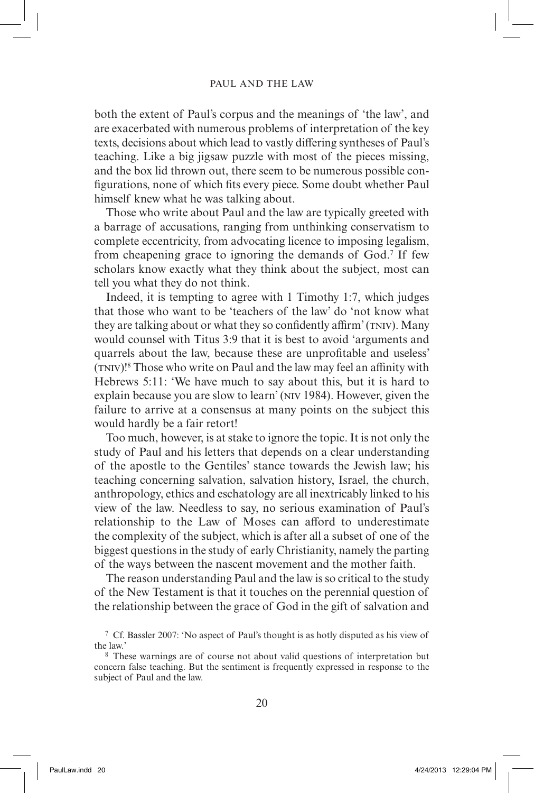both the extent of Paul's corpus and the meanings of 'the law', and are exacerbated with numerous problems of interpretation of the key texts, decisions about which lead to vastly difering syntheses of Paul's teaching. Like a big jigsaw puzzle with most of the pieces missing, and the box lid thrown out, there seem to be numerous possible confgurations, none of which fts every piece. Some doubt whether Paul himself knew what he was talking about.

Those who write about Paul and the law are typically greeted with a barrage of accusations, ranging from unthinking conservatism to complete eccentricity, from advocating licence to imposing legalism, from cheapening grace to ignoring the demands of God.<sup>7</sup> If few scholars know exactly what they think about the subject, most can tell you what they do not think.

Indeed, it is tempting to agree with 1 Timothy 1:7, which judges that those who want to be 'teachers of the law' do 'not know what they are talking about or what they so confidently affirm' (TNIV). Many would counsel with Titus 3:9 that it is best to avoid 'arguments and quarrels about the law, because these are unproftable and useless' (tniv)!8 Those who write on Paul and the law may feel an afnity with Hebrews 5:11: 'We have much to say about this, but it is hard to explain because you are slow to learn' (niv 1984). However, given the failure to arrive at a consensus at many points on the subject this would hardly be a fair retort!

Too much, however, is at stake to ignore the topic. It is not only the study of Paul and his letters that depends on a clear understanding of the apostle to the Gentiles' stance towards the Jewish law; his teaching concerning salvation, salvation history, Israel, the church, anthropology, ethics and eschatology are all inextricably linked to his view of the law. Needless to say, no serious examination of Paul's relationship to the Law of Moses can aford to underestimate the complexity of the subject, which is after all a subset of one of the biggest questions in the study of early Christianity, namely the parting of the ways between the nascent movement and the mother faith.

The reason understanding Paul and the law is so critical to the study of the New Testament is that it touches on the perennial question of the relationship between the grace of God in the gift of salvation and

 $^7$  Cf. Bassler 2007: 'No aspect of Paul's thought is as hotly disputed as his view of the law'

 $8$  These warnings are of course not about valid questions of interpretation but concern false teaching. But the sentiment is frequently expressed in response to the subject of Paul and the law.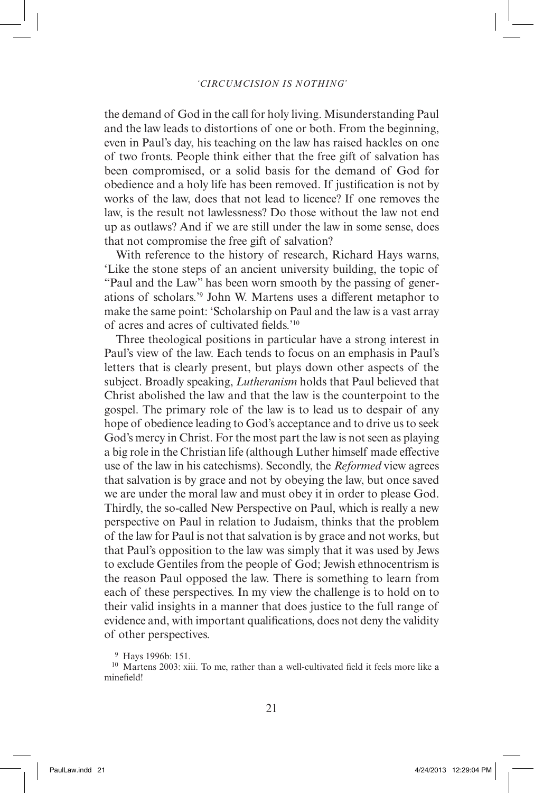the demand of God in the call for holy living. Misunderstanding Paul and the law leads to distortions of one or both. From the beginning, even in Paul's day, his teaching on the law has raised hackles on one of two fronts. People think either that the free gift of salvation has been compromised, or a solid basis for the demand of God for obedience and a holy life has been removed. If justifcation is not by works of the law, does that not lead to licence? If one removes the law, is the result not lawlessness? Do those without the law not end up as outlaws? And if we are still under the law in some sense, does that not compromise the free gift of salvation?

With reference to the history of research, Richard Hays warns, 'Like the stone steps of an ancient university building, the topic of "Paul and the Law" has been worn smooth by the passing of generations of scholars.'9 John W. Martens uses a diferent metaphor to make the same point: 'Scholarship on Paul and the law is a vast array of acres and acres of cultivated felds.'10

Three theological positions in particular have a strong interest in Paul's view of the law. Each tends to focus on an emphasis in Paul's letters that is clearly present, but plays down other aspects of the subject. Broadly speaking, *Lutheranism* holds that Paul believed that Christ abolished the law and that the law is the counterpoint to the gospel. The primary role of the law is to lead us to despair of any hope of obedience leading to God's acceptance and to drive us to seek God's mercy in Christ. For the most part the law is not seen as playing a big role in the Christian life (although Luther himself made efective use of the law in his catechisms). Secondly, the *Reformed* view agrees that salvation is by grace and not by obeying the law, but once saved we are under the moral law and must obey it in order to please God. Thirdly, the so-called New Perspective on Paul, which is really a new perspective on Paul in relation to Judaism, thinks that the problem of the law for Paul is not that salvation is by grace and not works, but that Paul's opposition to the law was simply that it was used by Jews to exclude Gentiles from the people of God; Jewish ethnocentrism is the reason Paul opposed the law. There is something to learn from each of these perspectives. In my view the challenge is to hold on to their valid insights in a manner that does justice to the full range of evidence and, with important qualifcations, does not deny the validity of other perspectives.

<sup>10</sup> Martens 2003: xiii. To me, rather than a well-cultivated feld it feels more like a minefeld!

<sup>9</sup> Hays 1996b: 151.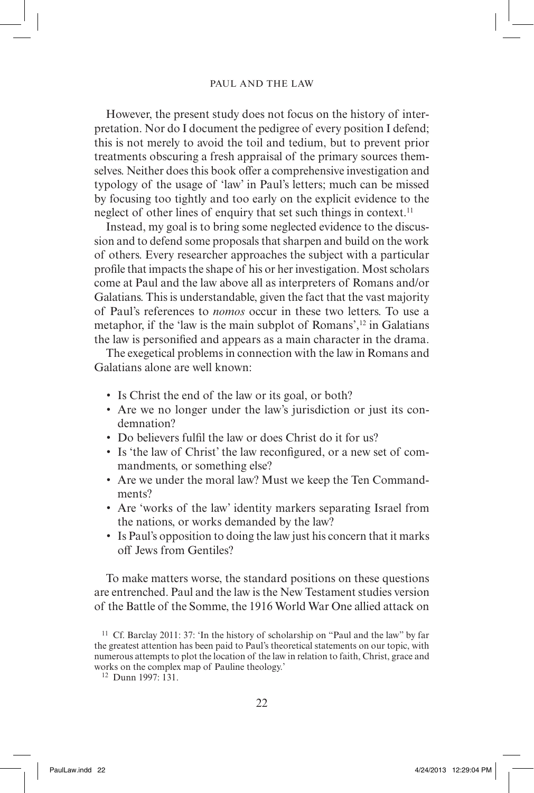However, the present study does not focus on the history of interpretation. Nor do I document the pedigree of every position I defend; this is not merely to avoid the toil and tedium, but to prevent prior treatments obscuring a fresh appraisal of the primary sources themselves. Neither does this book offer a comprehensive investigation and typology of the usage of 'law' in Paul's letters; much can be missed by focusing too tightly and too early on the explicit evidence to the neglect of other lines of enquiry that set such things in context.<sup>11</sup>

Instead, my goal is to bring some neglected evidence to the discussion and to defend some proposals that sharpen and build on the work of others. Every researcher approaches the subject with a particular profle that impacts the shape of his or her investigation. Most scholars come at Paul and the law above all as interpreters of Romans and/or Galatians. This is understandable, given the fact that the vast majority of Paul's references to *nomos* occur in these two letters. To use a metaphor, if the 'law is the main subplot of Romans',12 in Galatians the law is personifed and appears as a main character in the drama.

The exegetical problems in connection with the law in Romans and Galatians alone are well known:

- Is Christ the end of the law or its goal, or both?
- Are we no longer under the law's jurisdiction or just its condemnation?
- Do believers fulfl the law or does Christ do it for us?
- Is 'the law of Christ' the law reconfigured, or a new set of commandments, or something else?
- Are we under the moral law? Must we keep the Ten Commandments?
- Are 'works of the law' identity markers separating Israel from the nations, or works demanded by the law?
- Is Paul's opposition to doing the law just his concern that it marks of Jews from Gentiles?

To make matters worse, the standard positions on these questions are entrenched. Paul and the law is the New Testament studies version of the Battle of the Somme, the 1916 World War One allied attack on

<sup>&</sup>lt;sup>11</sup> Cf. Barclay 2011: 37: 'In the history of scholarship on "Paul and the law" by far the greatest attention has been paid to Paul's theoretical statements on our topic, with numerous attempts to plot the location of the law in relation to faith, Christ, grace and works on the complex map of Pauline theology.'

<sup>12</sup> Dunn 1997: 131.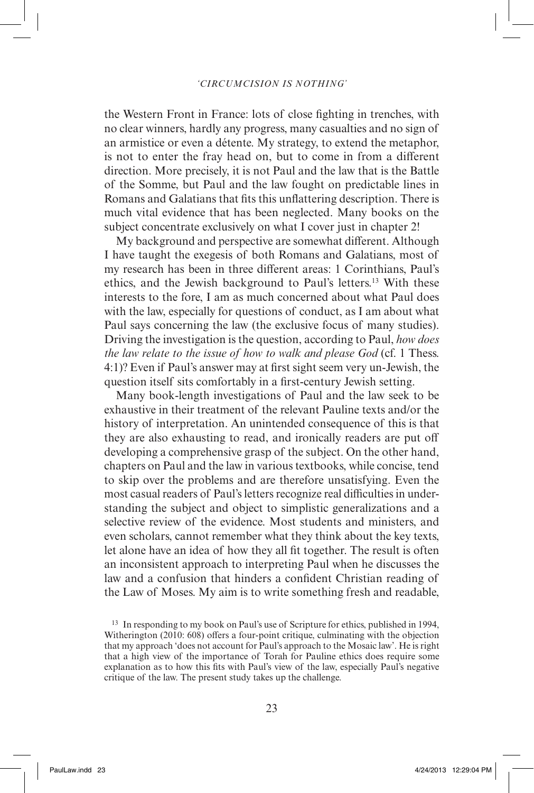#### *'CIRCUMCISION IS NOTHING'*

the Western Front in France: lots of close fghting in trenches, with no clear winners, hardly any progress, many casualties and no sign of an armistice or even a détente. My strategy, to extend the metaphor, is not to enter the fray head on, but to come in from a diferent direction. More precisely, it is not Paul and the law that is the Battle of the Somme, but Paul and the law fought on predictable lines in Romans and Galatians that fts this unfattering description. There is much vital evidence that has been neglected. Many books on the subject concentrate exclusively on what I cover just in chapter 2!

My background and perspective are somewhat diferent. Although I have taught the exegesis of both Romans and Galatians, most of my research has been in three diferent areas: 1 Corinthians, Paul's ethics, and the Jewish background to Paul's letters.13 With these interests to the fore, I am as much concerned about what Paul does with the law, especially for questions of conduct, as I am about what Paul says concerning the law (the exclusive focus of many studies). Driving the investigation is the question, according to Paul, *how does the law relate to the issue of how to walk and please God* (cf. 1 Thess. 4:1)? Even if Paul's answer may at frst sight seem very un-Jewish, the question itself sits comfortably in a frst-century Jewish setting.

Many book-length investigations of Paul and the law seek to be exhaustive in their treatment of the relevant Pauline texts and/or the history of interpretation. An unintended consequence of this is that they are also exhausting to read, and ironically readers are put of developing a comprehensive grasp of the subject. On the other hand, chapters on Paul and the law in various textbooks, while concise, tend to skip over the problems and are therefore unsatisfying. Even the most casual readers of Paul's letters recognize real difficulties in understanding the subject and object to simplistic generalizations and a selective review of the evidence. Most students and ministers, and even scholars, cannot remember what they think about the key texts, let alone have an idea of how they all fit together. The result is often an inconsistent approach to interpreting Paul when he discusses the law and a confusion that hinders a confdent Christian reading of the Law of Moses. My aim is to write something fresh and readable,

<sup>&</sup>lt;sup>13</sup> In responding to my book on Paul's use of Scripture for ethics, published in 1994, Witherington (2010: 608) offers a four-point critique, culminating with the objection that my approach 'does not account for Paul's approach to the Mosaic law'. He is right that a high view of the importance of Torah for Pauline ethics does require some explanation as to how this fts with Paul's view of the law, especially Paul's negative critique of the law. The present study takes up the challenge.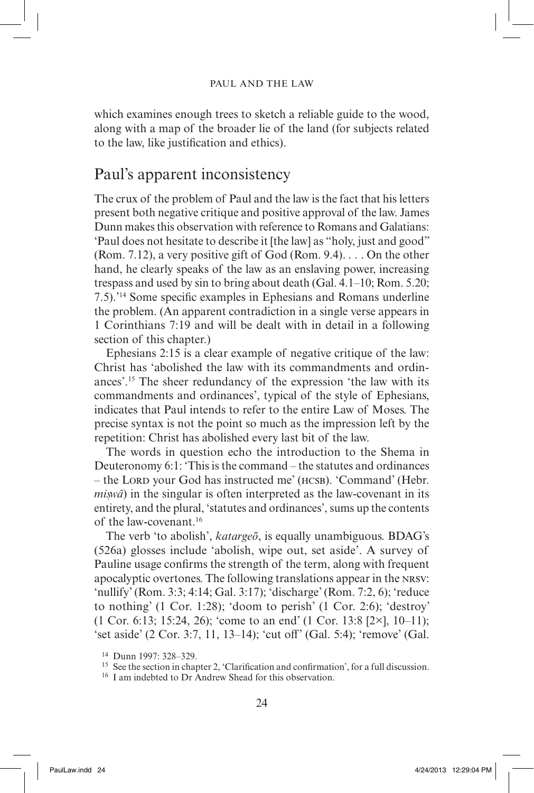which examines enough trees to sketch a reliable guide to the wood, along with a map of the broader lie of the land (for subjects related to the law, like justifcation and ethics).

## Paul's apparent inconsistency

The crux of the problem of Paul and the law is the fact that his letters present both negative critique and positive approval of the law. James Dunn makes this observation with reference to Romans and Galatians: 'Paul does not hesitate to describe it [the law] as "holy, just and good" (Rom. 7.12), a very positive gift of God (Rom. 9.4). . . . On the other hand, he clearly speaks of the law as an enslaving power, increasing trespass and used by sin to bring about death (Gal. 4.1–10; Rom. 5.20; 7.5).'14 Some specifc examples in Ephesians and Romans underline the problem. (An apparent contradiction in a single verse appears in 1 Corinthians 7:19 and will be dealt with in detail in a following section of this chapter.)

Ephesians 2:15 is a clear example of negative critique of the law: Christ has 'abolished the law with its commandments and ordinances'.15 The sheer redundancy of the expression 'the law with its commandments and ordinances', typical of the style of Ephesians, indicates that Paul intends to refer to the entire Law of Moses. The precise syntax is not the point so much as the impression left by the repetition: Christ has abolished every last bit of the law.

The words in question echo the introduction to the Shema in Deuteronomy 6:1: 'This is the command – the statutes and ordinances – the Lord your God has instructed me' (HCSB). 'Command' (Hebr. *miswâ*) in the singular is often interpreted as the law-covenant in its entirety, and the plural, 'statutes and ordinances', sums up the contents of the law-covenant.16

The verb 'to abolish', *katargeō*, is equally unambiguous. BDAG's (526a) glosses include 'abolish, wipe out, set aside'. A survey of Pauline usage confrms the strength of the term, along with frequent apocalyptic overtones. The following translations appear in the nrsv: 'nullify' (Rom. 3:3; 4:14; Gal. 3:17); 'discharge' (Rom. 7:2, 6); 'reduce to nothing' (1 Cor. 1:28); 'doom to perish' (1 Cor. 2:6); 'destroy' (1 Cor. 6:13; 15:24, 26); 'come to an end' (1 Cor. 13:8 [2×], 10–11); 'set aside' (2 Cor. 3:7, 11, 13–14); 'cut of' (Gal. 5:4); 'remove' (Gal.

<sup>14</sup> Dunn 1997: 328–329.

<sup>&</sup>lt;sup>15</sup> See the section in chapter 2, 'Clarification and confirmation', for a full discussion. <sup>16</sup> I am indebted to Dr Andrew Shead for this observation.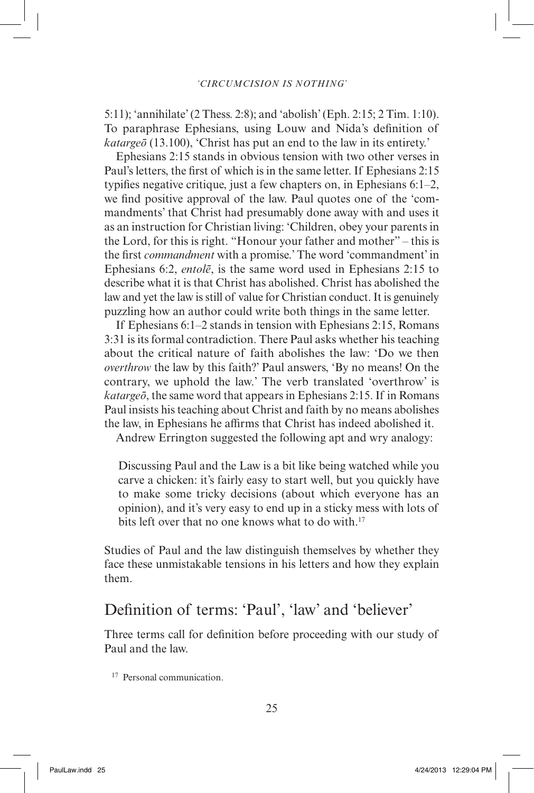5:11); 'annihilate' (2 Thess. 2:8); and 'abolish' (Eph. 2:15; 2 Tim. 1:10). To paraphrase Ephesians, using Louw and Nida's defnition of *katargeō* (13.100), 'Christ has put an end to the law in its entirety.'

Ephesians 2:15 stands in obvious tension with two other verses in Paul's letters, the frst of which is in the same letter. If Ephesians 2:15 typifes negative critique, just a few chapters on, in Ephesians 6:1–2, we fnd positive approval of the law. Paul quotes one of the 'commandments' that Christ had presumably done away with and uses it as an instruction for Christian living: 'Children, obey your parents in the Lord, for this is right. "Honour your father and mother" – this is the frst *commandment* with a promise.' The word 'commandment' in Ephesians 6:2, *entolē*, is the same word used in Ephesians 2:15 to describe what it is that Christ has abolished. Christ has abolished the law and yet the law is still of value for Christian conduct. It is genuinely puzzling how an author could write both things in the same letter.

If Ephesians 6:1–2 stands in tension with Ephesians 2:15, Romans 3:31 is its formal contradiction. There Paul asks whether his teaching about the critical nature of faith abolishes the law: 'Do we then *overthrow* the law by this faith?' Paul answers, 'By no means! On the contrary, we uphold the law.' The verb translated 'overthrow' is *katargeō*, the same word that appears in Ephesians 2:15. If in Romans Paul insists his teaching about Christ and faith by no means abolishes the law, in Ephesians he affirms that Christ has indeed abolished it.

Andrew Errington suggested the following apt and wry analogy:

Discussing Paul and the Law is a bit like being watched while you carve a chicken: it's fairly easy to start well, but you quickly have to make some tricky decisions (about which everyone has an opinion), and it's very easy to end up in a sticky mess with lots of bits left over that no one knows what to do with.<sup>17</sup>

Studies of Paul and the law distinguish themselves by whether they face these unmistakable tensions in his letters and how they explain them.

## Defnition of terms: 'Paul', 'law' and 'believer'

Three terms call for defnition before proceeding with our study of Paul and the law.

<sup>17</sup> Personal communication.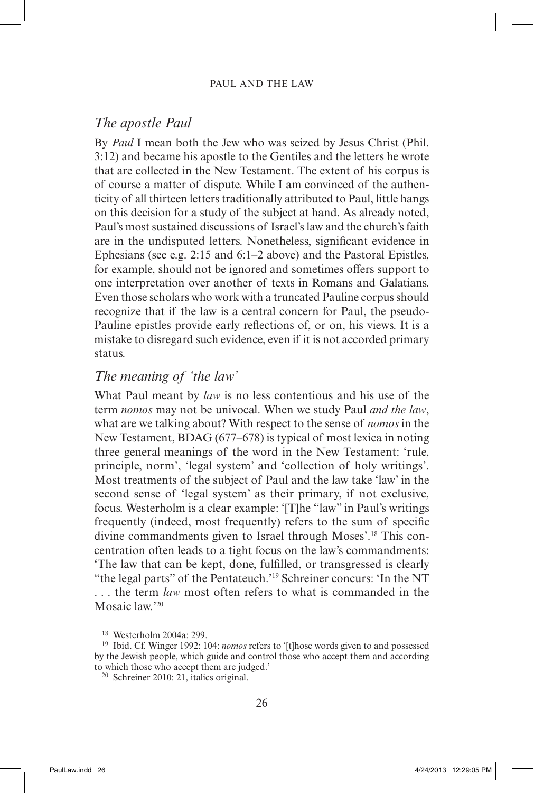### *The apostle Paul*

By *Paul* I mean both the Jew who was seized by Jesus Christ (Phil. 3:12) and became his apostle to the Gentiles and the letters he wrote that are collected in the New Testament. The extent of his corpus is of course a matter of dispute. While I am convinced of the authenticity of all thirteen letters traditionally attributed to Paul, little hangs on this decision for a study of the subject at hand. As already noted, Paul's most sustained discussions of Israel's law and the church's faith are in the undisputed letters. Nonetheless, signifcant evidence in Ephesians (see e.g. 2:15 and 6:1–2 above) and the Pastoral Epistles, for example, should not be ignored and sometimes offers support to one interpretation over another of texts in Romans and Galatians. Even those scholars who work with a truncated Pauline corpus should recognize that if the law is a central concern for Paul, the pseudo-Pauline epistles provide early refections of, or on, his views. It is a mistake to disregard such evidence, even if it is not accorded primary status.

## *The meaning of 'the law'*

What Paul meant by *law* is no less contentious and his use of the term *nomos* may not be univocal. When we study Paul *and the law*, what are we talking about? With respect to the sense of *nomos* in the New Testament, BDAG (677–678) is typical of most lexica in noting three general meanings of the word in the New Testament: 'rule, principle, norm', 'legal system' and 'collection of holy writings'. Most treatments of the subject of Paul and the law take 'law' in the second sense of 'legal system' as their primary, if not exclusive, focus. Westerholm is a clear example: '[T]he "law" in Paul's writings frequently (indeed, most frequently) refers to the sum of specifc divine commandments given to Israel through Moses'.18 This concentration often leads to a tight focus on the law's commandments: 'The law that can be kept, done, fulflled, or transgressed is clearly "the legal parts" of the Pentateuch.'19 Schreiner concurs: 'In the NT . . . the term *law* most often refers to what is commanded in the Mosaic law.'20

<sup>&</sup>lt;sup>18</sup> Westerholm 2004a: 299.<br><sup>19</sup> Ibid. Cf. Winger 1992: 104: *nomos* refers to '[t]hose words given to and possessed by the Jewish people, which guide and control those who accept them and according to which those who accept them are judged.'

<sup>20</sup> Schreiner 2010: 21, italics original.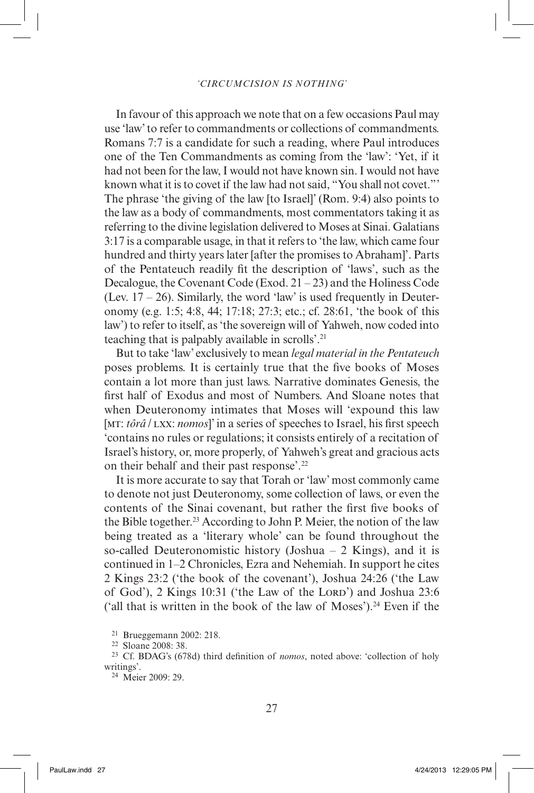#### *'CIRCUMCISION IS NOTHING'*

In favour of this approach we note that on a few occasions Paul may use 'law' to refer to commandments or collections of commandments. Romans 7:7 is a candidate for such a reading, where Paul introduces one of the Ten Commandments as coming from the 'law': 'Yet, if it had not been for the law, I would not have known sin. I would not have known what it is to covet if the law had not said, "You shall not covet." ' The phrase 'the giving of the law [to Israel]' (Rom. 9:4) also points to the law as a body of commandments, most commentators taking it as referring to the divine legislation delivered to Moses at Sinai. Galatians 3:17 is a comparable usage, in that it refers to 'the law, which came four hundred and thirty years later [after the promises to Abraham]'. Parts of the Pentateuch readily ft the description of 'laws', such as the Decalogue, the Covenant Code (Exod. 21 – 23) and the Holiness Code (Lev.  $17 - 26$ ). Similarly, the word 'law' is used frequently in Deuteronomy (e.g. 1:5; 4:8, 44; 17:18; 27:3; etc.; cf. 28:61, 'the book of this law') to refer to itself, as 'the sovereign will of Yahweh, now coded into teaching that is palpably available in scrolls'.21

But to take 'law' exclusively to mean *legal material in the Pentateuch* poses problems. It is certainly true that the fve books of Moses contain a lot more than just laws. Narrative dominates Genesis, the frst half of Exodus and most of Numbers. And Sloane notes that when Deuteronomy intimates that Moses will 'expound this law [MT: *tôrâ* / LXX: *nomos*]' in a series of speeches to Israel, his first speech 'contains no rules or regulations; it consists entirely of a recitation of Israel's history, or, more properly, of Yahweh's great and gracious acts on their behalf and their past response'.22

It is more accurate to say that Torah or 'law' most commonly came to denote not just Deuteronomy, some collection of laws, or even the contents of the Sinai covenant, but rather the frst fve books of the Bible together.<sup>23</sup> According to John P. Meier, the notion of the law being treated as a 'literary whole' can be found throughout the so-called Deuteronomistic history (Joshua  $-2$  Kings), and it is continued in 1–2 Chronicles, Ezra and Nehemiah. In support he cites 2 Kings 23:2 ('the book of the covenant'), Joshua 24:26 ('the Law of God'), 2 Kings 10:31 ('the Law of the Lord') and Joshua 23:6 ('all that is written in the book of the law of Moses').<sup>24</sup> Even if the

<sup>21</sup> Brueggemann 2002: 218. 22 Sloane 2008: 38.

<sup>23</sup> Cf. BDAG's (678d) third defnition of *nomos*, noted above: 'collection of holy writings'.

<sup>24</sup> Meier 2009: 29.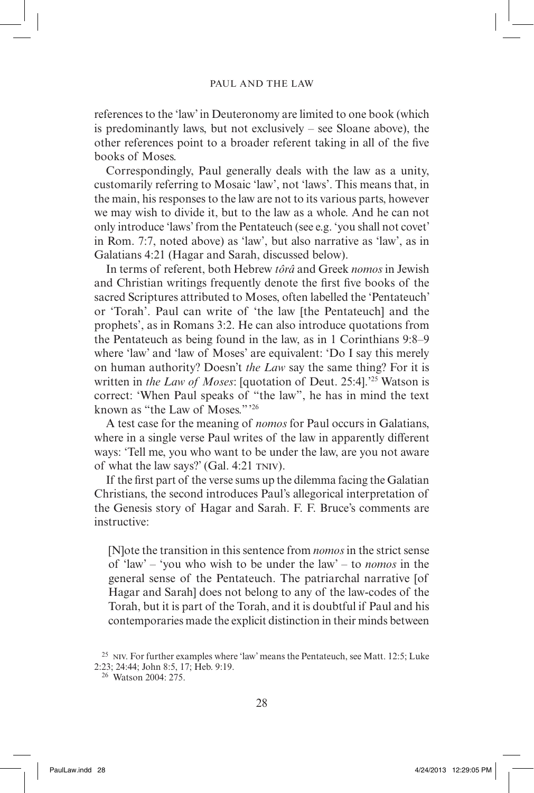references to the 'law' in Deuteronomy are limited to one book (which is predominantly laws, but not exclusively – see Sloane above), the other references point to a broader referent taking in all of the fve books of Moses.

Correspondingly, Paul generally deals with the law as a unity, customarily referring to Mosaic 'law', not 'laws'. This means that, in the main, his responses to the law are not to its various parts, however we may wish to divide it, but to the law as a whole. And he can not only introduce 'laws' from the Pentateuch (see e.g. 'you shall not covet' in Rom. 7:7, noted above) as 'law', but also narrative as 'law', as in Galatians 4:21 (Hagar and Sarah, discussed below).

In terms of referent, both Hebrew *tôrâ* and Greek *nomos* in Jewish and Christian writings frequently denote the frst fve books of the sacred Scriptures attributed to Moses, often labelled the 'Pentateuch' or 'Torah'. Paul can write of 'the law [the Pentateuch] and the prophets', as in Romans 3:2. He can also introduce quotations from the Pentateuch as being found in the law, as in 1 Corinthians 9:8–9 where 'law' and 'law of Moses' are equivalent: 'Do I say this merely on human authority? Doesn't *the Law* say the same thing? For it is written in *the Law of Moses*: [quotation of Deut. 25:4].'25 Watson is correct: 'When Paul speaks of "the law", he has in mind the text known as "the Law of Moses." ' 26

A test case for the meaning of *nomos* for Paul occurs in Galatians, where in a single verse Paul writes of the law in apparently diferent ways: 'Tell me, you who want to be under the law, are you not aware of what the law says?' (Gal. 4:21 tniv).

If the frst part of the verse sums up the dilemma facing the Galatian Christians, the second introduces Paul's allegorical interpretation of the Genesis story of Hagar and Sarah. F. F. Bruce's comments are instructive:

[N]ote the transition in this sentence from *nomos* in the strict sense of 'law' – 'you who wish to be under the law' – to *nomos* in the general sense of the Pentateuch. The patriarchal narrative [of Hagar and Sarah] does not belong to any of the law-codes of the Torah, but it is part of the Torah, and it is doubtful if Paul and his contemporaries made the explicit distinction in their minds between

 $25$  NIV. For further examples where 'law' means the Pentateuch, see Matt. 12:5; Luke 2:23; 24:44; John 8:5, 17; Heb. 9:19.

<sup>26</sup> Watson 2004: 275.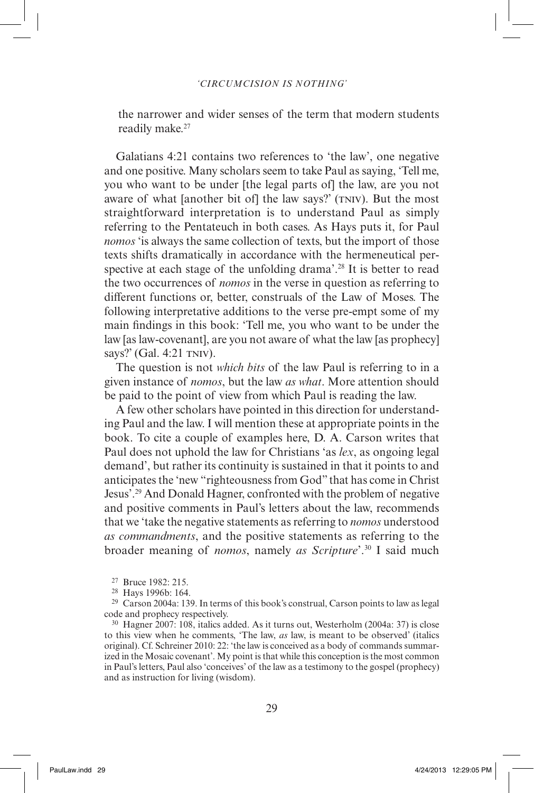#### *'CIRCUMCISION IS NOTHING'*

the narrower and wider senses of the term that modern students readily make.<sup>27</sup>

Galatians 4:21 contains two references to 'the law', one negative and one positive. Many scholars seem to take Paul as saying, 'Tell me, you who want to be under [the legal parts of] the law, are you not aware of what [another bit of] the law says?' (TNIV). But the most straightforward interpretation is to understand Paul as simply referring to the Pentateuch in both cases. As Hays puts it, for Paul *nomos* 'is always the same collection of texts, but the import of those texts shifts dramatically in accordance with the hermeneutical perspective at each stage of the unfolding drama'.<sup>28</sup> It is better to read the two occurrences of *nomos* in the verse in question as referring to diferent functions or, better, construals of the Law of Moses. The following interpretative additions to the verse pre-empt some of my main fndings in this book: 'Tell me, you who want to be under the law [as law-covenant], are you not aware of what the law [as prophecy] says?' (Gal. 4:21 TNIV).

The question is not *which bits* of the law Paul is referring to in a given instance of *nomos*, but the law *as what*. More attention should be paid to the point of view from which Paul is reading the law.

A few other scholars have pointed in this direction for understanding Paul and the law. I will mention these at appropriate points in the book. To cite a couple of examples here, D. A. Carson writes that Paul does not uphold the law for Christians 'as *lex*, as ongoing legal demand', but rather its continuity is sustained in that it points to and anticipates the 'new "righteousness from God" that has come in Christ Jesus'.29 And Donald Hagner, confronted with the problem of negative and positive comments in Paul's letters about the law, recommends that we 'take the negative statements as referring to *nomos* understood *as commandments*, and the positive statements as referring to the broader meaning of *nomos*, namely *as Scripture*'.30 I said much

<sup>30</sup> Hagner 2007: 108, italics added. As it turns out, Westerholm (2004a: 37) is close to this view when he comments, 'The law, *as* law, is meant to be observed' (italics original). Cf. Schreiner 2010: 22: 'the law is conceived as a body of commands summarized in the Mosaic covenant'. My point is that while this conception is the most common in Paul's letters, Paul also 'conceives' of the law as a testimony to the gospel (prophecy) and as instruction for living (wisdom).

<sup>&</sup>lt;sup>27</sup> Bruce 1982: 215.<br><sup>28</sup> Hays 1996b: 164.<br><sup>29</sup> Carson 2004a: 139. In terms of this book's construal, Carson points to law as legal code and prophecy respectively.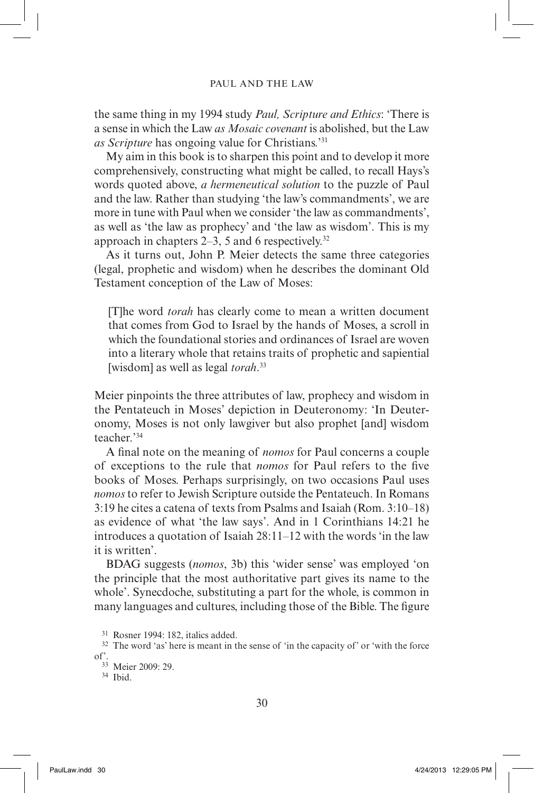the same thing in my 1994 study *Paul, Scripture and Ethics*: 'There is a sense in which the Law *as Mosaic covenant* is abolished, but the Law *as Scripture* has ongoing value for Christians.'31

My aim in this book is to sharpen this point and to develop it more comprehensively, constructing what might be called, to recall Hays's words quoted above, *a hermeneutical solution* to the puzzle of Paul and the law. Rather than studying 'the law's commandments', we are more in tune with Paul when we consider 'the law as commandments', as well as 'the law as prophecy' and 'the law as wisdom'. This is my approach in chapters  $2-3$ , 5 and 6 respectively.<sup>32</sup>

As it turns out, John P. Meier detects the same three categories (legal, prophetic and wisdom) when he describes the dominant Old Testament conception of the Law of Moses:

[T]he word *torah* has clearly come to mean a written document that comes from God to Israel by the hands of Moses, a scroll in which the foundational stories and ordinances of Israel are woven into a literary whole that retains traits of prophetic and sapiential [wisdom] as well as legal *torah*. 33

Meier pinpoints the three attributes of law, prophecy and wisdom in the Pentateuch in Moses' depiction in Deuteronomy: 'In Deuteronomy, Moses is not only lawgiver but also prophet [and] wisdom teacher.'34

A fnal note on the meaning of *nomos* for Paul concerns a couple of exceptions to the rule that *nomos* for Paul refers to the fve books of Moses. Perhaps surprisingly, on two occasions Paul uses *nomos* to refer to Jewish Scripture outside the Pentateuch. In Romans 3:19 he cites a catena of texts from Psalms and Isaiah (Rom. 3:10–18) as evidence of what 'the law says'. And in 1 Corinthians 14:21 he introduces a quotation of Isaiah 28:11–12 with the words 'in the law it is written'.

BDAG suggests (*nomos*, 3b) this 'wider sense' was employed 'on the principle that the most authoritative part gives its name to the whole'. Synecdoche, substituting a part for the whole, is common in many languages and cultures, including those of the Bible. The figure

<sup>31</sup> Rosner 1994: 182, italics added.

<sup>&</sup>lt;sup>32</sup> The word 'as' here is meant in the sense of 'in the capacity of' or 'with the force of'.

<sup>33</sup> Meier 2009: 29. 34 Ibid.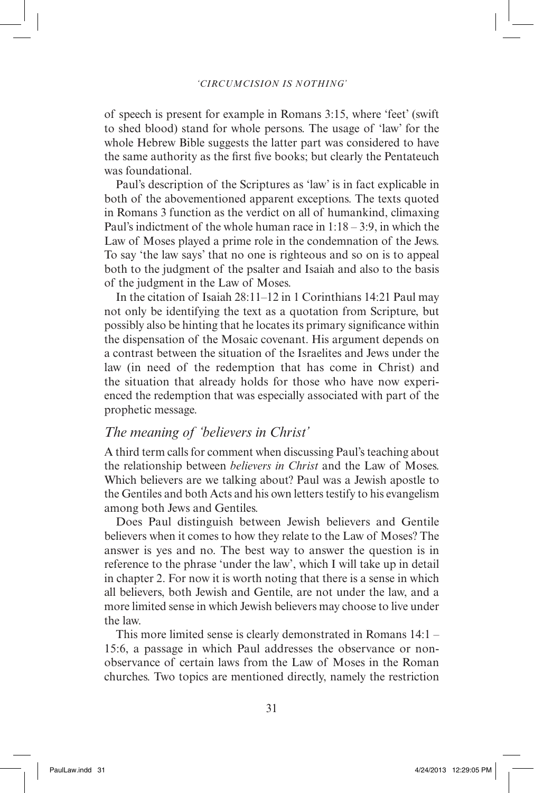of speech is present for example in Romans 3:15, where 'feet' (swift to shed blood) stand for whole persons. The usage of 'law' for the whole Hebrew Bible suggests the latter part was considered to have the same authority as the frst fve books; but clearly the Pentateuch was foundational.

Paul's description of the Scriptures as 'law' is in fact explicable in both of the abovementioned apparent exceptions. The texts quoted in Romans 3 function as the verdict on all of humankind, climaxing Paul's indictment of the whole human race in  $1:18 - 3:9$ , in which the Law of Moses played a prime role in the condemnation of the Jews. To say 'the law says' that no one is righteous and so on is to appeal both to the judgment of the psalter and Isaiah and also to the basis of the judgment in the Law of Moses.

In the citation of Isaiah 28:11–12 in 1 Corinthians 14:21 Paul may not only be identifying the text as a quotation from Scripture, but possibly also be hinting that he locates its primary signifcance within the dispensation of the Mosaic covenant. His argument depends on a contrast between the situation of the Israelites and Jews under the law (in need of the redemption that has come in Christ) and the situation that already holds for those who have now experienced the redemption that was especially associated with part of the prophetic message.

## *The meaning of 'believers in Christ'*

A third term calls for comment when discussing Paul's teaching about the relationship between *believers in Christ* and the Law of Moses. Which believers are we talking about? Paul was a Jewish apostle to the Gentiles and both Acts and his own letters testify to his evangelism among both Jews and Gentiles.

Does Paul distinguish between Jewish believers and Gentile believers when it comes to how they relate to the Law of Moses? The answer is yes and no. The best way to answer the question is in reference to the phrase 'under the law', which I will take up in detail in chapter 2. For now it is worth noting that there is a sense in which all believers, both Jewish and Gentile, are not under the law, and a more limited sense in which Jewish believers may choose to live under the law.

This more limited sense is clearly demonstrated in Romans 14:1 – 15:6, a passage in which Paul addresses the observance or nonobservance of certain laws from the Law of Moses in the Roman churches. Two topics are mentioned directly, namely the restriction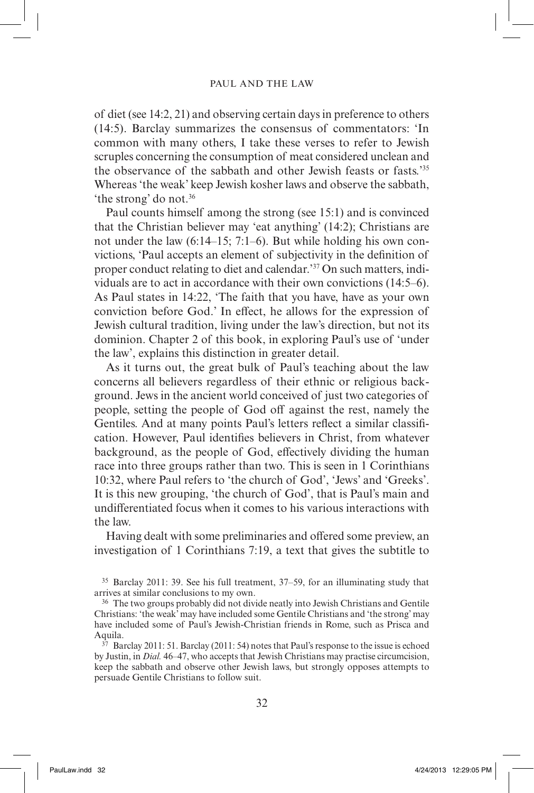of diet (see 14:2, 21) and observing certain days in preference to others (14:5). Barclay summarizes the consensus of commentators: 'In common with many others, I take these verses to refer to Jewish scruples concerning the consumption of meat considered unclean and the observance of the sabbath and other Jewish feasts or fasts.'35 Whereas 'the weak' keep Jewish kosher laws and observe the sabbath, 'the strong' do not.36

Paul counts himself among the strong (see 15:1) and is convinced that the Christian believer may 'eat anything' (14:2); Christians are not under the law (6:14–15; 7:1–6). But while holding his own convictions, 'Paul accepts an element of subjectivity in the defnition of proper conduct relating to diet and calendar.'37 On such matters, individuals are to act in accordance with their own convictions (14:5–6). As Paul states in 14:22, 'The faith that you have, have as your own conviction before God.' In efect, he allows for the expression of Jewish cultural tradition, living under the law's direction, but not its dominion. Chapter 2 of this book, in exploring Paul's use of 'under the law', explains this distinction in greater detail.

As it turns out, the great bulk of Paul's teaching about the law concerns all believers regardless of their ethnic or religious background. Jews in the ancient world conceived of just two categories of people, setting the people of God off against the rest, namely the Gentiles. And at many points Paul's letters refect a similar classifcation. However, Paul identifes believers in Christ, from whatever background, as the people of God, efectively dividing the human race into three groups rather than two. This is seen in 1 Corinthians 10:32, where Paul refers to 'the church of God', 'Jews' and 'Greeks'. It is this new grouping, 'the church of God', that is Paul's main and undiferentiated focus when it comes to his various interactions with the law.

Having dealt with some preliminaries and ofered some preview, an investigation of 1 Corinthians 7:19, a text that gives the subtitle to

<sup>35</sup> Barclay 2011: 39. See his full treatment, 37–59, for an illuminating study that arrives at similar conclusions to my own.

<sup>&</sup>lt;sup>36</sup> The two groups probably did not divide neatly into Jewish Christians and Gentile Christians: 'the weak' may have included some Gentile Christians and 'the strong' may have included some of Paul's Jewish-Christian friends in Rome, such as Prisca and Aquila.

 $37$  Barclay 2011: 51. Barclay (2011: 54) notes that Paul's response to the issue is echoed by Justin, in *Dial.* 46–47, who accepts that Jewish Christians may practise circumcision, keep the sabbath and observe other Jewish laws, but strongly opposes attempts to persuade Gentile Christians to follow suit.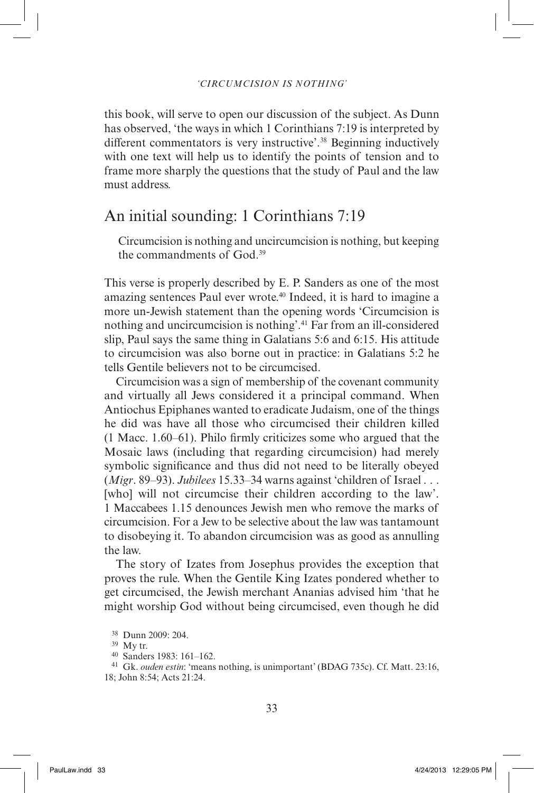this book, will serve to open our discussion of the subject. As Dunn has observed, 'the ways in which 1 Corinthians 7:19 is interpreted by different commentators is very instructive'.<sup>38</sup> Beginning inductively with one text will help us to identify the points of tension and to frame more sharply the questions that the study of Paul and the law must address.

## An initial sounding: 1 Corinthians 7:19

Circumcision is nothing and uncircumcision is nothing, but keeping the commandments of God.39

This verse is properly described by E. P. Sanders as one of the most amazing sentences Paul ever wrote.40 Indeed, it is hard to imagine a more un-Jewish statement than the opening words 'Circumcision is nothing and uncircumcision is nothing'.41 Far from an ill-considered slip, Paul says the same thing in Galatians 5:6 and 6:15. His attitude to circumcision was also borne out in practice: in Galatians 5:2 he tells Gentile believers not to be circumcised.

Circumcision was a sign of membership of the covenant community and virtually all Jews considered it a principal command. When Antiochus Epiphanes wanted to eradicate Judaism, one of the things he did was have all those who circumcised their children killed (1 Macc. 1.60–61). Philo frmly criticizes some who argued that the Mosaic laws (including that regarding circumcision) had merely symbolic signifcance and thus did not need to be literally obeyed (*Migr*. 89–93). *Jubilees* 15.33–34 warns against 'children of Israel . . . [who] will not circumcise their children according to the law'. 1 Maccabees 1.15 denounces Jewish men who remove the marks of circumcision. For a Jew to be selective about the law was tantamount to disobeying it. To abandon circumcision was as good as annulling the law.

The story of Izates from Josephus provides the exception that proves the rule. When the Gentile King Izates pondered whether to get circumcised, the Jewish merchant Ananias advised him 'that he might worship God without being circumcised, even though he did

 $\frac{38}{39}$  My tr.<br> $\frac{40}{39}$  My tr.<br> $\frac{40}{39}$  Sanders 1983: 161–162.

<sup>&</sup>lt;sup>41</sup> Gk. *ouden estin*: 'means nothing, is unimportant' (BDAG 735c). Cf. Matt. 23:16, 18; John 8:54; Acts 21:24.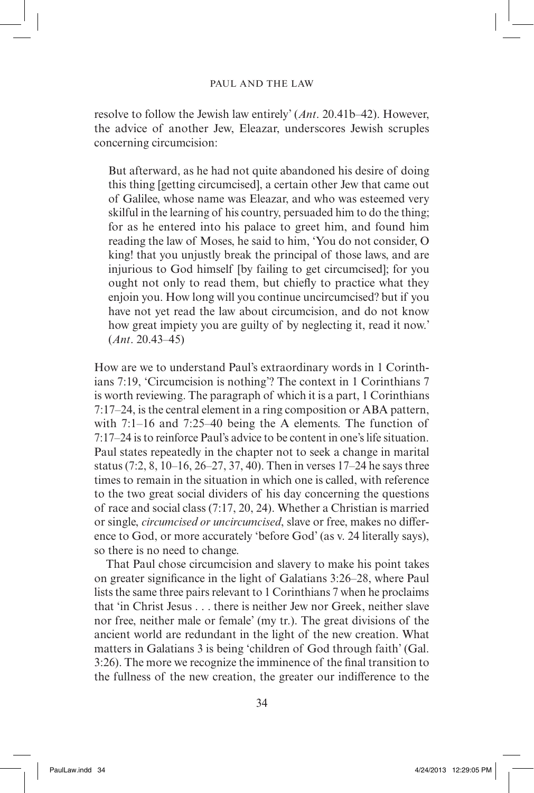resolve to follow the Jewish law entirely' (*Ant*. 20.41b–42). However, the advice of another Jew, Eleazar, underscores Jewish scruples concerning circumcision:

But afterward, as he had not quite abandoned his desire of doing this thing [getting circumcised], a certain other Jew that came out of Galilee, whose name was Eleazar, and who was esteemed very skilful in the learning of his country, persuaded him to do the thing; for as he entered into his palace to greet him, and found him reading the law of Moses, he said to him, 'You do not consider, O king! that you unjustly break the principal of those laws, and are injurious to God himself [by failing to get circumcised]; for you ought not only to read them, but chiefy to practice what they enjoin you. How long will you continue uncircumcised? but if you have not yet read the law about circumcision, and do not know how great impiety you are guilty of by neglecting it, read it now.' (*Ant*. 20.43–45)

How are we to understand Paul's extraordinary words in 1 Corinthians 7:19, 'Circumcision is nothing'? The context in 1 Corinthians 7 is worth reviewing. The paragraph of which it is a part, 1 Corinthians 7:17–24, is the central element in a ring composition or ABA pattern, with 7:1–16 and 7:25–40 being the A elements. The function of 7:17–24 is to reinforce Paul's advice to be content in one's life situation. Paul states repeatedly in the chapter not to seek a change in marital status (7:2, 8, 10–16, 26–27, 37, 40). Then in verses 17–24 he says three times to remain in the situation in which one is called, with reference to the two great social dividers of his day concerning the questions of race and social class (7:17, 20, 24). Whether a Christian is married or single, *circumcised or uncircumcised*, slave or free, makes no diference to God, or more accurately 'before God' (as v. 24 literally says), so there is no need to change.

That Paul chose circumcision and slavery to make his point takes on greater signifcance in the light of Galatians 3:26–28, where Paul lists the same three pairs relevant to 1 Corinthians 7 when he proclaims that 'in Christ Jesus . . . there is neither Jew nor Greek, neither slave nor free, neither male or female' (my tr.). The great divisions of the ancient world are redundant in the light of the new creation. What matters in Galatians 3 is being 'children of God through faith' (Gal. 3:26). The more we recognize the imminence of the fnal transition to the fullness of the new creation, the greater our indiference to the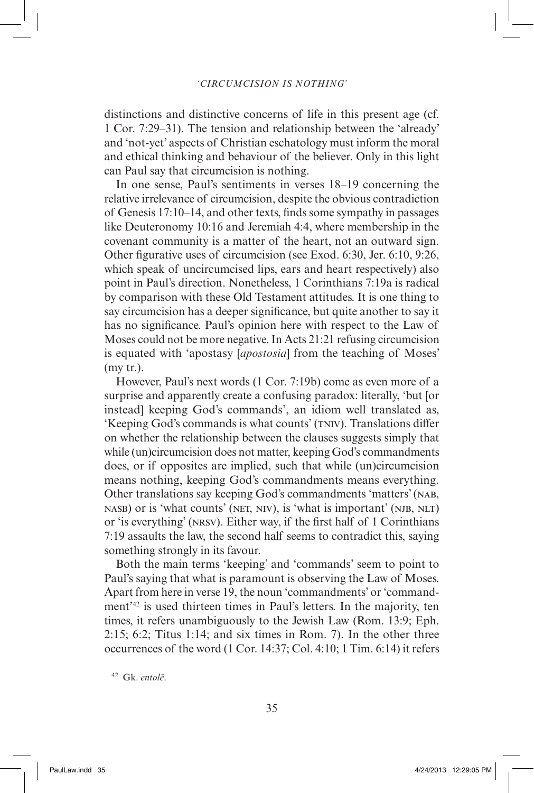distinctions and distinctive concerns of life in this present age (cf. 1 Cor. 7:29–31). The tension and relationship between the 'already' and 'not-yet' aspects of Christian eschatology must inform the moral and ethical thinking and behaviour of the believer. Only in this light can Paul say that circumcision is nothing.

In one sense, Paul's sentiments in verses 18–19 concerning the relative irrelevance of circumcision, despite the obvious contradiction of Genesis 17:10–14, and other texts, fnds some sympathy in passages like Deuteronomy 10:16 and Jeremiah 4:4, where membership in the covenant community is a matter of the heart, not an outward sign. Other fgurative uses of circumcision (see Exod. 6:30, Jer. 6:10, 9:26, which speak of uncircumcised lips, ears and heart respectively) also point in Paul's direction. Nonetheless, 1 Corinthians 7:19a is radical by comparison with these Old Testament attitudes. It is one thing to say circumcision has a deeper signifcance, but quite another to say it has no signifcance. Paul's opinion here with respect to the Law of Moses could not be more negative. In Acts 21:21 refusing circumcision is equated with 'apostasy [*apostosia*] from the teaching of Moses' (my tr.).

However, Paul's next words (1 Cor. 7:19b) come as even more of a surprise and apparently create a confusing paradox: literally, 'but [or instead] keeping God's commands', an idiom well translated as, 'Keeping God's commands is what counts' (TNIV). Translations differ on whether the relationship between the clauses suggests simply that while (un)circumcision does not matter, keeping God's commandments does, or if opposites are implied, such that while (un)circumcision means nothing, keeping God's commandments means everything. Other translations say keeping God's commandments 'matters'(nab, nase) or is 'what counts' (NET, NIV), is 'what is important' (NJB, NLT) or 'is everything' (nrsv). Either way, if the frst half of 1 Corinthians 7:19 assaults the law, the second half seems to contradict this, saying something strongly in its favour.

Both the main terms 'keeping' and 'commands' seem to point to Paul's saying that what is paramount is observing the Law of Moses. Apart from here in verse 19, the noun 'commandments' or 'commandment'42 is used thirteen times in Paul's letters. In the majority, ten times, it refers unambiguously to the Jewish Law (Rom. 13:9; Eph. 2:15; 6:2; Titus 1:14; and six times in Rom. 7). In the other three occurrences of the word (1 Cor. 14:37; Col. 4:10; 1 Tim. 6:14) it refers

<sup>42</sup> Gk. *entolē*.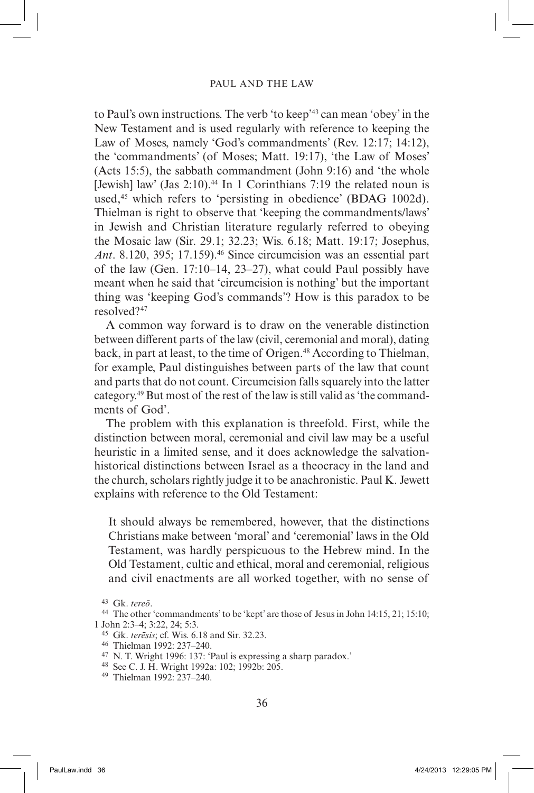to Paul's own instructions. The verb 'to keep'43 can mean 'obey' in the New Testament and is used regularly with reference to keeping the Law of Moses, namely 'God's commandments' (Rev. 12:17; 14:12), the 'commandments' (of Moses; Matt. 19:17), 'the Law of Moses' (Acts 15:5), the sabbath commandment (John 9:16) and 'the whole [Jewish] law' (Jas 2:10).<sup>44</sup> In 1 Corinthians 7:19 the related noun is used,<sup>45</sup> which refers to 'persisting in obedience' (BDAG 1002d). Thielman is right to observe that 'keeping the commandments/laws' in Jewish and Christian literature regularly referred to obeying the Mosaic law (Sir. 29.1; 32.23; Wis. 6.18; Matt. 19:17; Josephus, *Ant*. 8.120, 395; 17.159).<sup>46</sup> Since circumcision was an essential part of the law (Gen. 17:10–14, 23–27), what could Paul possibly have meant when he said that 'circumcision is nothing' but the important thing was 'keeping God's commands'? How is this paradox to be resolved? 47

A common way forward is to draw on the venerable distinction between diferent parts of the law (civil, ceremonial and moral), dating back, in part at least, to the time of Origen.<sup>48</sup> According to Thielman, for example, Paul distinguishes between parts of the law that count and parts that do not count. Circumcision falls squarely into the latter category.49 But most of the rest of the law is still valid as 'the commandments of God'.

The problem with this explanation is threefold. First, while the distinction between moral, ceremonial and civil law may be a useful heuristic in a limited sense, and it does acknowledge the salvationhistorical distinctions between Israel as a theocracy in the land and the church, scholars rightly judge it to be anachronistic. Paul K. Jewett explains with reference to the Old Testament:

It should always be remembered, however, that the distinctions Christians make between 'moral' and 'ceremonial' laws in the Old Testament, was hardly perspicuous to the Hebrew mind. In the Old Testament, cultic and ethical, moral and ceremonial, religious and civil enactments are all worked together, with no sense of

<sup>43</sup> Gk. *tere<sup>ō</sup>*. 44 The other 'commandments' to be 'kept' are those of Jesus in John 14:15, 21; 15:10; 1 John 2:3–4; 3:22, 24; 5:3.

<sup>45</sup> Gk. *terēsis*; cf. Wis. 6.18 and Sir. 32.23.

<sup>46</sup> Thielman 1992: 237–240.

<sup>47</sup> N. T. Wright 1996: 137: 'Paul is expressing a sharp paradox.'

<sup>48</sup> See C. J. H. Wright 1992a: 102; 1992b: 205.

<sup>49</sup> Thielman 1992: 237–240.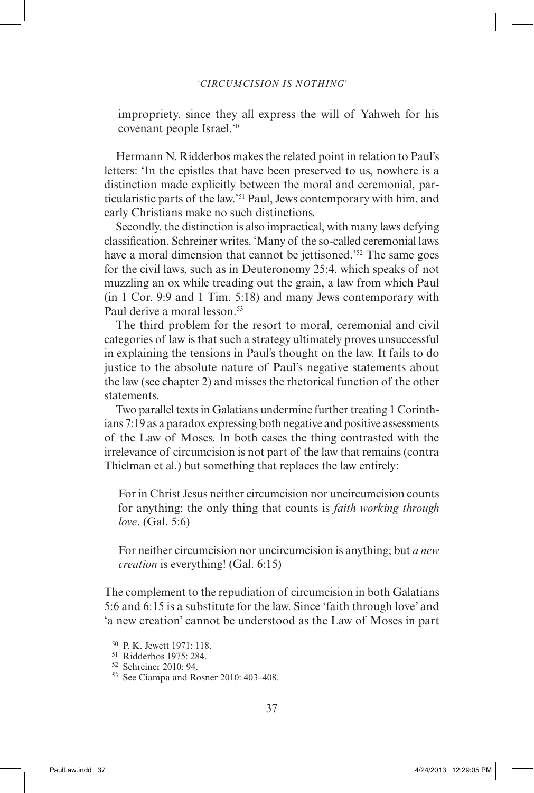impropriety, since they all express the will of Yahweh for his covenant people Israel.50

Hermann N. Ridderbos makes the related point in relation to Paul's letters: 'In the epistles that have been preserved to us, nowhere is a distinction made explicitly between the moral and ceremonial, particularistic parts of the law.'51 Paul, Jews contemporary with him, and early Christians make no such distinctions.

Secondly, the distinction is also impractical, with many laws defying classifcation. Schreiner writes, 'Many of the so-called ceremonial laws have a moral dimension that cannot be jettisoned.<sup>'52</sup> The same goes for the civil laws, such as in Deuteronomy 25:4, which speaks of not muzzling an ox while treading out the grain, a law from which Paul (in 1 Cor. 9:9 and 1 Tim. 5:18) and many Jews contemporary with Paul derive a moral lesson.<sup>53</sup>

The third problem for the resort to moral, ceremonial and civil categories of law is that such a strategy ultimately proves unsuccessful in explaining the tensions in Paul's thought on the law. It fails to do justice to the absolute nature of Paul's negative statements about the law (see chapter 2) and misses the rhetorical function of the other statements.

Two parallel texts in Galatians undermine further treating 1 Corinthians 7:19 as a paradox expressing both negative and positive assessments of the Law of Moses. In both cases the thing contrasted with the irrelevance of circumcision is not part of the law that remains (contra Thielman et al.) but something that replaces the law entirely:

For in Christ Jesus neither circumcision nor uncircumcision counts for anything; the only thing that counts is *faith working through love*. (Gal. 5:6)

For neither circumcision nor uncircumcision is anything; but *a new creation* is everything! (Gal. 6:15)

The complement to the repudiation of circumcision in both Galatians 5:6 and 6:15 is a substitute for the law. Since 'faith through love' and 'a new creation' cannot be understood as the Law of Moses in part

<sup>&</sup>lt;sup>50</sup> P. K. Jewett 1971: 118.<br><sup>51</sup> Ridderbos 1975: 284.<br><sup>52</sup> Schreiner 2010: 94.

<sup>53</sup> See Ciampa and Rosner 2010: 403–408.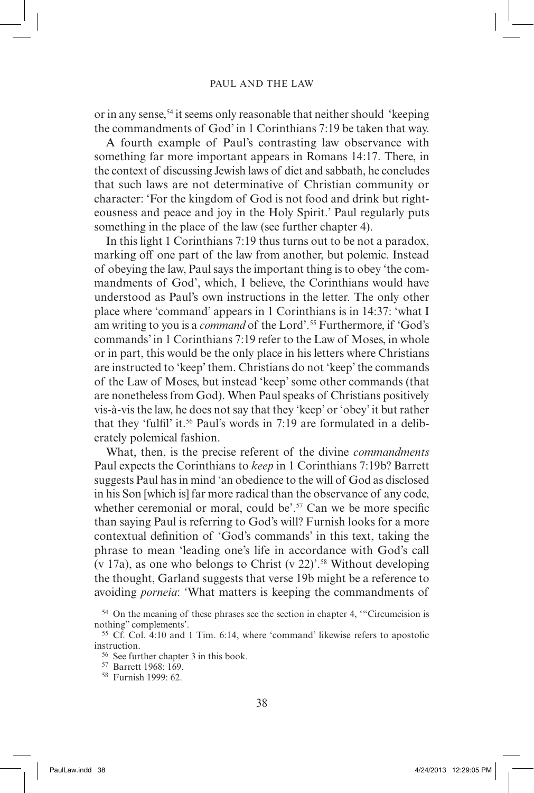or in any sense,<sup>54</sup> it seems only reasonable that neither should 'keeping the commandments of God' in 1 Corinthians 7:19 be taken that way.

A fourth example of Paul's contrasting law observance with something far more important appears in Romans 14:17. There, in the context of discussing Jewish laws of diet and sabbath, he concludes that such laws are not determinative of Christian community or character: 'For the kingdom of God is not food and drink but righteousness and peace and joy in the Holy Spirit.' Paul regularly puts something in the place of the law (see further chapter 4).

In this light 1 Corinthians 7:19 thus turns out to be not a paradox, marking off one part of the law from another, but polemic. Instead of obeying the law, Paul says the important thing is to obey 'the commandments of God', which, I believe, the Corinthians would have understood as Paul's own instructions in the letter. The only other place where 'command' appears in 1 Corinthians is in 14:37: 'what I am writing to you is a *command* of the Lord'.55 Furthermore, if 'God's commands' in 1 Corinthians 7:19 refer to the Law of Moses, in whole or in part, this would be the only place in his letters where Christians are instructed to 'keep' them. Christians do not 'keep' the commands of the Law of Moses, but instead 'keep' some other commands (that are nonetheless from God). When Paul speaks of Christians positively vis-à-vis the law, he does not say that they 'keep' or 'obey' it but rather that they 'fulfil' it.<sup>56</sup> Paul's words in 7:19 are formulated in a deliberately polemical fashion.

What, then, is the precise referent of the divine *commandments* Paul expects the Corinthians to *keep* in 1 Corinthians 7:19b? Barrett suggests Paul has in mind 'an obedience to the will of God as disclosed in his Son [which is] far more radical than the observance of any code, whether ceremonial or moral, could be'.<sup>57</sup> Can we be more specific than saying Paul is referring to God's will? Furnish looks for a more contextual defnition of 'God's commands' in this text, taking the phrase to mean 'leading one's life in accordance with God's call  $(v 17a)$ , as one who belongs to Christ  $(v 22)$ <sup>'.58</sup> Without developing the thought, Garland suggests that verse 19b might be a reference to avoiding *porneia*: 'What matters is keeping the commandments of

<sup>&</sup>lt;sup>54</sup> On the meaning of these phrases see the section in chapter 4, "Circumcision is nothing" complements'.

<sup>55</sup> Cf. Col. 4:10 and 1 Tim. 6:14, where 'command' likewise refers to apostolic instruction.

 $56$  See further chapter 3 in this book.<br> $57$  Barrett 1968: 169.

<sup>&</sup>lt;sup>58</sup> Furnish 1999: 62.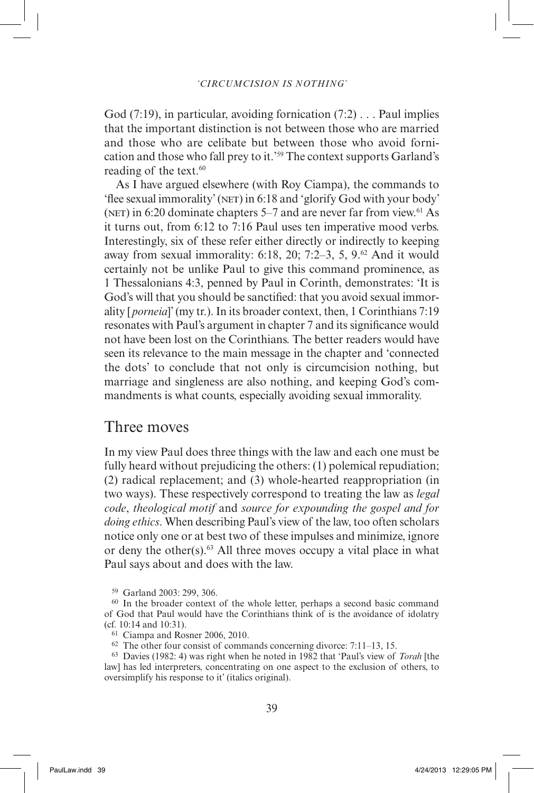God (7:19), in particular, avoiding fornication (7:2) . . . Paul implies that the important distinction is not between those who are married and those who are celibate but between those who avoid fornication and those who fall prey to it.'59 The context supports Garland's reading of the text.<sup>60</sup>

As I have argued elsewhere (with Roy Ciampa), the commands to 'fee sexual immorality' (net) in 6:18 and 'glorify God with your body' (NET) in 6:20 dominate chapters  $5-7$  and are never far from view.<sup>61</sup> As it turns out, from 6:12 to 7:16 Paul uses ten imperative mood verbs. Interestingly, six of these refer either directly or indirectly to keeping away from sexual immorality: 6:18, 20; 7:2-3, 5,  $9^{62}$  And it would certainly not be unlike Paul to give this command prominence, as 1 Thessalonians 4:3, penned by Paul in Corinth, demonstrates: 'It is God's will that you should be sanctifed: that you avoid sexual immorality [ *porneia*]' (my tr.). In its broader context, then, 1 Corinthians 7:19 resonates with Paul's argument in chapter 7 and its signifcance would not have been lost on the Corinthians. The better readers would have seen its relevance to the main message in the chapter and 'connected the dots' to conclude that not only is circumcision nothing, but marriage and singleness are also nothing, and keeping God's commandments is what counts, especially avoiding sexual immorality.

## Three moves

In my view Paul does three things with the law and each one must be fully heard without prejudicing the others: (1) polemical repudiation; (2) radical replacement; and (3) whole-hearted reappropriation (in two ways). These respectively correspond to treating the law as *legal code*, *theological motif* and *source for expounding the gospel and for doing ethics*. When describing Paul's view of the law, too often scholars notice only one or at best two of these impulses and minimize, ignore or deny the other(s).<sup>63</sup> All three moves occupy a vital place in what Paul says about and does with the law.

<sup>59</sup> Garland 2003: 299, 306.

<sup>60</sup> In the broader context of the whole letter, perhaps a second basic command of God that Paul would have the Corinthians think of is the avoidance of idolatry (cf. 10:14 and 10:31).<br><sup>61</sup> Ciampa and Rosner 2006, 2010.

 $62$  The other four consist of commands concerning divorce: 7:11–13, 15.

<sup>63</sup> Davies (1982: 4) was right when he noted in 1982 that 'Paul's view of *Torah* [the law] has led interpreters, concentrating on one aspect to the exclusion of others, to oversimplify his response to it' (italics original).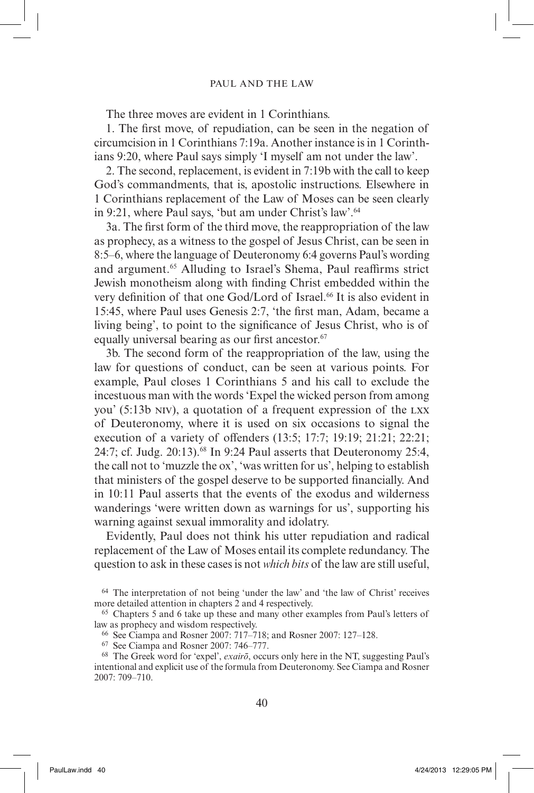The three moves are evident in 1 Corinthians.

1. The frst move, of repudiation, can be seen in the negation of circumcision in 1 Corinthians 7:19a. Another instance is in 1 Corinthians 9:20, where Paul says simply 'I myself am not under the law'.

2. The second, replacement, is evident in 7:19b with the call to keep God's commandments, that is, apostolic instructions. Elsewhere in 1 Corinthians replacement of the Law of Moses can be seen clearly in 9:21, where Paul says, 'but am under Christ's law'.64

3a. The frst form of the third move, the reappropriation of the law as prophecy, as a witness to the gospel of Jesus Christ, can be seen in 8:5–6, where the language of Deuteronomy 6:4 governs Paul's wording and argument.<sup>65</sup> Alluding to Israel's Shema, Paul reaffirms strict Jewish monotheism along with fnding Christ embedded within the very definition of that one God/Lord of Israel.<sup>66</sup> It is also evident in 15:45, where Paul uses Genesis 2:7, 'the frst man, Adam, became a living being', to point to the signifcance of Jesus Christ, who is of equally universal bearing as our first ancestor.<sup>67</sup>

3b. The second form of the reappropriation of the law, using the law for questions of conduct, can be seen at various points. For example, Paul closes 1 Corinthians 5 and his call to exclude the incestuous man with the words 'Expel the wicked person from among you' (5:13b niv), a quotation of a frequent expression of the lxx of Deuteronomy, where it is used on six occasions to signal the execution of a variety of ofenders (13:5; 17:7; 19:19; 21:21; 22:21; 24:7; cf. Judg. 20:13).<sup>68</sup> In 9:24 Paul asserts that Deuteronomy 25:4, the call not to 'muzzle the ox', 'was written for us', helping to establish that ministers of the gospel deserve to be supported fnancially. And in 10:11 Paul asserts that the events of the exodus and wilderness wanderings 'were written down as warnings for us', supporting his warning against sexual immorality and idolatry.

Evidently, Paul does not think his utter repudiation and radical replacement of the Law of Moses entail its complete redundancy. The question to ask in these cases is not *which bits* of the law are still useful,

<sup>64</sup> The interpretation of not being 'under the law' and 'the law of Christ' receives more detailed attention in chapters 2 and 4 respectively.

<sup>65</sup> Chapters 5 and 6 take up these and many other examples from Paul's letters of law as prophecy and wisdom respectively.<br><sup>66</sup> See Ciampa and Rosner 2007: 717–718; and Rosner 2007: 127–128.

<sup>&</sup>lt;sup>67</sup> See Ciampa and Rosner 2007: 746–777.<br><sup>68</sup> The Greek word for 'expel', *exairō*, occurs only here in the NT, suggesting Paul's intentional and explicit use of the formula from Deuteronomy. See Ciampa and Rosner 2007: 709–710.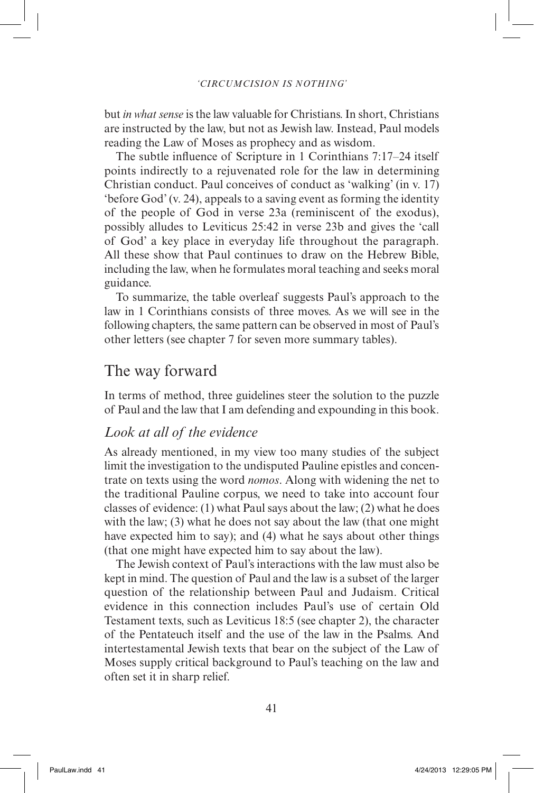#### *'CIRCUMCISION IS NOTHING'*

but *in what sense* is the law valuable for Christians. In short, Christians are instructed by the law, but not as Jewish law. Instead, Paul models reading the Law of Moses as prophecy and as wisdom.

The subtle infuence of Scripture in 1 Corinthians 7:17–24 itself points indirectly to a rejuvenated role for the law in determining Christian conduct. Paul conceives of conduct as 'walking' (in v. 17) 'before God' (v. 24), appeals to a saving event as forming the identity of the people of God in verse 23a (reminiscent of the exodus), possibly alludes to Leviticus 25:42 in verse 23b and gives the 'call of God' a key place in everyday life throughout the paragraph. All these show that Paul continues to draw on the Hebrew Bible, including the law, when he formulates moral teaching and seeks moral guidance.

To summarize, the table overleaf suggests Paul's approach to the law in 1 Corinthians consists of three moves. As we will see in the following chapters, the same pattern can be observed in most of Paul's other letters (see chapter 7 for seven more summary tables).

## The way forward

In terms of method, three guidelines steer the solution to the puzzle of Paul and the law that I am defending and expounding in this book.

## *Look at all of the evidence*

As already mentioned, in my view too many studies of the subject limit the investigation to the undisputed Pauline epistles and concentrate on texts using the word *nomos*. Along with widening the net to the traditional Pauline corpus, we need to take into account four classes of evidence: (1) what Paul says about the law; (2) what he does with the law; (3) what he does not say about the law (that one might have expected him to say); and (4) what he says about other things (that one might have expected him to say about the law).

The Jewish context of Paul's interactions with the law must also be kept in mind. The question of Paul and the law is a subset of the larger question of the relationship between Paul and Judaism. Critical evidence in this connection includes Paul's use of certain Old Testament texts, such as Leviticus 18:5 (see chapter 2), the character of the Pentateuch itself and the use of the law in the Psalms. And intertestamental Jewish texts that bear on the subject of the Law of Moses supply critical background to Paul's teaching on the law and often set it in sharp relief.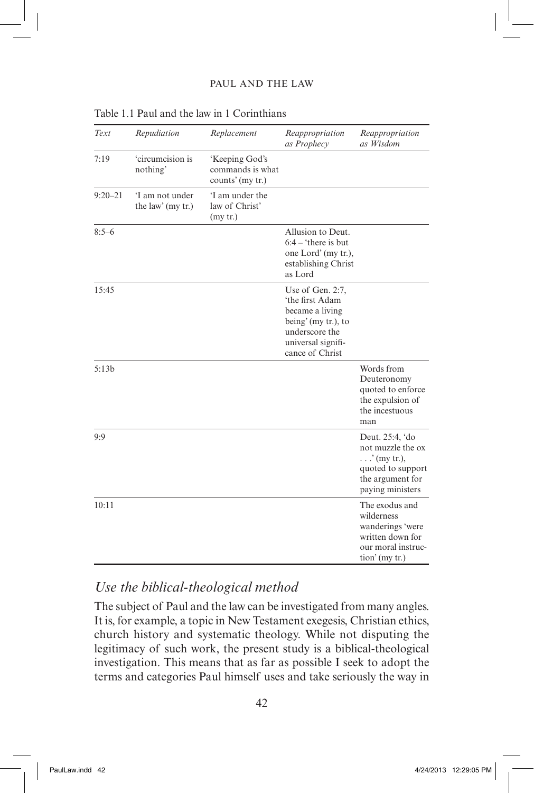| Text        | Repudiation                         | Replacement                                            | Reappropriation<br>as Prophecy                                                                                                           | Reappropriation<br>as Wisdom                                                                                            |
|-------------|-------------------------------------|--------------------------------------------------------|------------------------------------------------------------------------------------------------------------------------------------------|-------------------------------------------------------------------------------------------------------------------------|
| 7:19        | 'circumcision is<br>nothing'        | 'Keeping God's<br>commands is what<br>counts' (my tr.) |                                                                                                                                          |                                                                                                                         |
| $9:20 - 21$ | I am not under<br>the law' (my tr.) | 'I am under the<br>law of Christ'<br>(my tr.)          |                                                                                                                                          |                                                                                                                         |
| $8:5-6$     |                                     |                                                        | Allusion to Deut.<br>$6:4$ – 'there is but<br>one Lord' (my tr.),<br>establishing Christ<br>as Lord                                      |                                                                                                                         |
| 15:45       |                                     |                                                        | Use of Gen. 2:7,<br>'the first Adam<br>became a living<br>being' (my tr.), to<br>underscore the<br>universal signifi-<br>cance of Christ |                                                                                                                         |
| 5:13b       |                                     |                                                        |                                                                                                                                          | Words from<br>Deuteronomy<br>quoted to enforce<br>the expulsion of<br>the incestuous<br>man                             |
| 9:9         |                                     |                                                        |                                                                                                                                          | Deut. 25:4, 'do<br>not muzzle the ox<br>$\ldots$ (my tr.),<br>quoted to support<br>the argument for<br>paying ministers |
| 10:11       |                                     |                                                        |                                                                                                                                          | The exodus and<br>wilderness<br>wanderings 'were<br>written down for<br>our moral instruc-<br>tion' (my tr.)            |

Table 1.1 Paul and the law in 1 Corinthians

## *Use the biblical-theological method*

The subject of Paul and the law can be investigated from many angles. It is, for example, a topic in New Testament exegesis, Christian ethics, church history and systematic theology. While not disputing the legitimacy of such work, the present study is a biblical-theological investigation. This means that as far as possible I seek to adopt the terms and categories Paul himself uses and take seriously the way in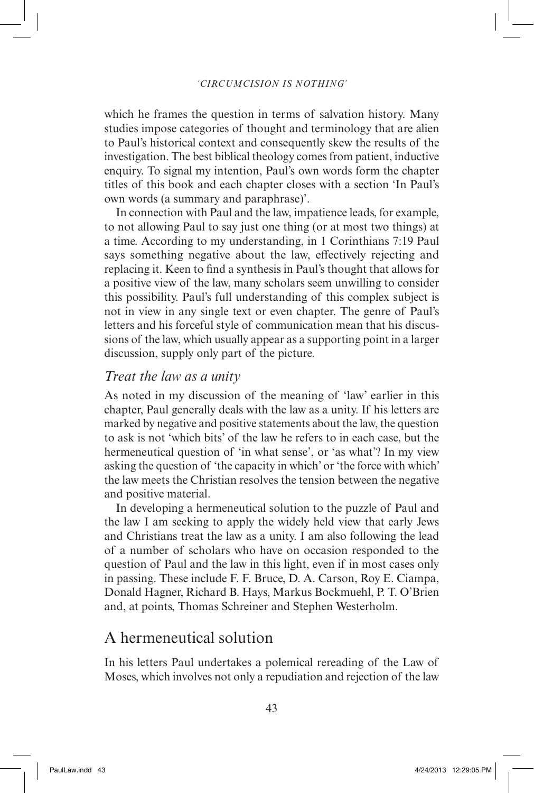which he frames the question in terms of salvation history. Many studies impose categories of thought and terminology that are alien to Paul's historical context and consequently skew the results of the investigation. The best biblical theology comes from patient, inductive enquiry. To signal my intention, Paul's own words form the chapter titles of this book and each chapter closes with a section 'In Paul's own words (a summary and paraphrase)'.

In connection with Paul and the law, impatience leads, for example, to not allowing Paul to say just one thing (or at most two things) at a time. According to my understanding, in 1 Corinthians 7:19 Paul says something negative about the law, efectively rejecting and replacing it. Keen to fnd a synthesis in Paul's thought that allows for a positive view of the law, many scholars seem unwilling to consider this possibility. Paul's full understanding of this complex subject is not in view in any single text or even chapter. The genre of Paul's letters and his forceful style of communication mean that his discussions of the law, which usually appear as a supporting point in a larger discussion, supply only part of the picture.

## *Treat the law as a unity*

As noted in my discussion of the meaning of 'law' earlier in this chapter, Paul generally deals with the law as a unity. If his letters are marked by negative and positive statements about the law, the question to ask is not 'which bits' of the law he refers to in each case, but the hermeneutical question of 'in what sense', or 'as what'? In my view asking the question of 'the capacity in which' or 'the force with which' the law meets the Christian resolves the tension between the negative and positive material.

In developing a hermeneutical solution to the puzzle of Paul and the law I am seeking to apply the widely held view that early Jews and Christians treat the law as a unity. I am also following the lead of a number of scholars who have on occasion responded to the question of Paul and the law in this light, even if in most cases only in passing. These include F. F. Bruce, D. A. Carson, Roy E. Ciampa, Donald Hagner, Richard B. Hays, Markus Bockmuehl, P. T. O'Brien and, at points, Thomas Schreiner and Stephen Westerholm.

## A hermeneutical solution

In his letters Paul undertakes a polemical rereading of the Law of Moses, which involves not only a repudiation and rejection of the law